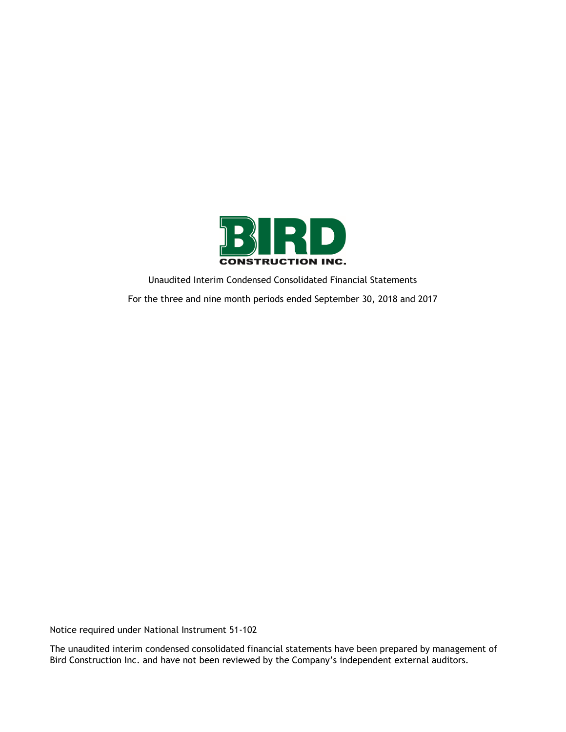

Unaudited Interim Condensed Consolidated Financial Statements For the three and nine month periods ended September 30, 2018 and 2017

Notice required under National Instrument 51-102

The unaudited interim condensed consolidated financial statements have been prepared by management of Bird Construction Inc. and have not been reviewed by the Company's independent external auditors.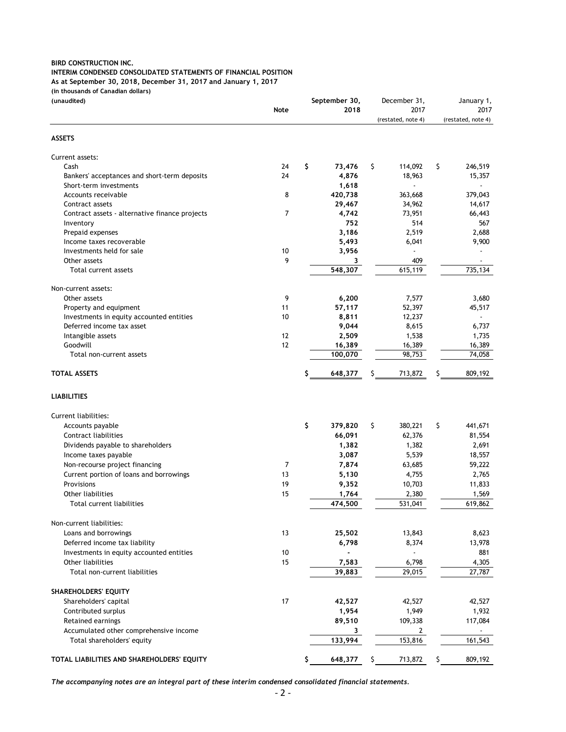### **INTERIM CONDENSED CONSOLIDATED STATEMENTS OF FINANCIAL POSITION**

**As at September 30, 2018, December 31, 2017 and January 1, 2017**

**(in thousands of Canadian dollars)**

| (unaudited)                                                          |                | September 30, |    | December 31,               |     | January 1,                 |
|----------------------------------------------------------------------|----------------|---------------|----|----------------------------|-----|----------------------------|
|                                                                      | <b>Note</b>    | 2018          |    | 2017<br>(restated, note 4) |     | 2017<br>(restated, note 4) |
|                                                                      |                |               |    |                            |     |                            |
| <b>ASSETS</b>                                                        |                |               |    |                            |     |                            |
| Current assets:                                                      |                |               |    |                            |     |                            |
| Cash                                                                 | 24             | \$<br>73,476  | \$ | 114,092                    | \$  | 246,519                    |
| Bankers' acceptances and short-term deposits                         | 24             | 4,876         |    | 18,963                     |     | 15,357                     |
| Short-term investments                                               |                | 1,618         |    |                            |     |                            |
| Accounts receivable                                                  | 8              | 420,738       |    | 363,668                    |     | 379,043                    |
| Contract assets                                                      |                | 29,467        |    | 34,962                     |     | 14,617                     |
| Contract assets - alternative finance projects                       | $\overline{7}$ | 4,742         |    | 73,951                     |     | 66,443                     |
| Inventory                                                            |                | 752           |    | 514                        |     | 567                        |
| Prepaid expenses                                                     |                | 3,186         |    | 2,519                      |     | 2,688                      |
| Income taxes recoverable                                             |                | 5,493         |    | 6,041                      |     | 9,900                      |
| Investments held for sale                                            | 10             | 3,956         |    |                            |     |                            |
| Other assets                                                         | 9              | 3             |    | 409                        |     |                            |
| Total current assets                                                 |                | 548,307       |    | 615,119                    |     | 735,134                    |
| Non-current assets:                                                  |                |               |    |                            |     |                            |
| Other assets                                                         | 9              | 6,200         |    | 7,577                      |     | 3,680                      |
| Property and equipment                                               | 11             | 57,117        |    | 52,397                     |     | 45,517                     |
| Investments in equity accounted entities                             | 10             | 8,811         |    | 12,237                     |     |                            |
| Deferred income tax asset                                            |                | 9,044         |    | 8,615                      |     | 6,737                      |
| Intangible assets                                                    | 12             | 2,509         |    | 1,538                      |     | 1,735                      |
| Goodwill                                                             | 12             | 16,389        |    | 16,389                     |     | 16,389                     |
| Total non-current assets                                             |                | 100,070       |    | 98,753                     |     | 74,058                     |
| <b>TOTAL ASSETS</b>                                                  |                | 648,377       | S  | 713,872                    | S   | 809,192                    |
| <b>LIABILITIES</b>                                                   |                |               |    |                            |     |                            |
| Current liabilities:                                                 |                |               |    |                            |     |                            |
| Accounts payable                                                     |                | \$<br>379,820 | \$ | 380,221                    | \$  | 441,671                    |
| Contract liabilities                                                 |                | 66,091        |    | 62,376                     |     | 81,554                     |
| Dividends payable to shareholders                                    |                | 1,382         |    | 1,382                      |     | 2,691                      |
| Income taxes payable                                                 |                | 3,087         |    | 5,539                      |     | 18,557                     |
| Non-recourse project financing                                       | 7              | 7,874         |    | 63,685                     |     | 59,222                     |
| Current portion of loans and borrowings                              | 13             | 5,130         |    | 4,755                      |     | 2,765                      |
| Provisions                                                           | 19             | 9,352         |    | 10,703                     |     | 11,833                     |
| Other liabilities                                                    | 15             | 1,764         |    | 2,380                      |     | 1,569                      |
| Total current liabilities                                            |                | 474,500       |    | 531,041                    |     | 619,862                    |
| Non-current liabilities:                                             |                |               |    |                            |     |                            |
| Loans and borrowings                                                 | 13             | 25,502        |    | 13,843                     |     | 8,623                      |
| Deferred income tax liability                                        |                | 6,798         |    | 8,374                      |     | 13,978                     |
| Investments in equity accounted entities                             | 10             |               |    | $\overline{a}$             |     | 881                        |
| Other liabilities                                                    | 15             | 7,583         |    | 6,798                      |     | 4,305                      |
| Total non-current liabilities                                        |                | 39,883        |    | 29,015                     |     | 27,787                     |
|                                                                      |                |               |    |                            |     |                            |
| SHAREHOLDERS' EQUITY                                                 |                |               |    |                            |     |                            |
| Shareholders' capital                                                | 17             | 42,527        |    | 42,527                     |     | 42,527                     |
| Contributed surplus                                                  |                | 1,954         |    | 1,949                      |     | 1,932                      |
| Retained earnings                                                    |                | 89,510        |    | 109,338                    |     | 117,084                    |
| Accumulated other comprehensive income<br>Total shareholders' equity |                | 3<br>133,994  |    | 2<br>153,816               |     | 161,543                    |
|                                                                      |                |               |    |                            |     |                            |
| TOTAL LIABILITIES AND SHAREHOLDERS' EQUITY                           |                | 648,377       | \$ | 713,872                    | \$. | 809,192                    |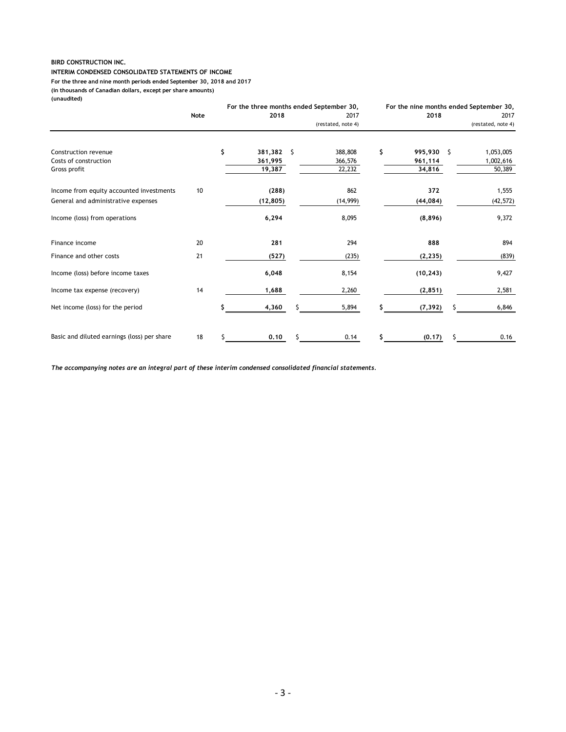#### **INTERIM CONDENSED CONSOLIDATED STATEMENTS OF INCOME For the three and nine month periods ended September 30, 2018 and 2017 (in thousands of Canadian dollars, except per share amounts) (unaudited)**

|                                               |      |                             | For the three months ended September 30, |                             | For the nine months ended September 30, |
|-----------------------------------------------|------|-----------------------------|------------------------------------------|-----------------------------|-----------------------------------------|
|                                               | Note | 2018                        | 2017                                     | 2018                        | 2017                                    |
|                                               |      |                             | (restated, note 4)                       |                             | (restated, note 4)                      |
| Construction revenue<br>Costs of construction |      | \$<br>381,382 \$<br>361,995 | 388,808<br>366,576                       | \$<br>995,930 \$<br>961,114 | 1,053,005<br>1,002,616                  |
| Gross profit                                  |      | 19,387                      | 22,232                                   | 34,816                      | 50,389                                  |
| Income from equity accounted investments      | 10   | (288)                       | 862                                      | 372                         | 1,555                                   |
| General and administrative expenses           |      | (12, 805)                   | (14, 999)                                | (44, 084)                   | (42, 572)                               |
| Income (loss) from operations                 |      | 6,294                       | 8,095                                    | (8,896)                     | 9,372                                   |
| Finance income                                | 20   | 281                         | 294                                      | 888                         | 894                                     |
| Finance and other costs                       | 21   | (527)                       | (235)                                    | (2, 235)                    | (839)                                   |
| Income (loss) before income taxes             |      | 6,048                       | 8,154                                    | (10, 243)                   | 9,427                                   |
| Income tax expense (recovery)                 | 14   | 1,688                       | 2,260                                    | (2, 851)                    | 2,581                                   |
| Net income (loss) for the period              |      | 4,360                       | 5,894                                    | (7, 392)                    | 6,846                                   |
| Basic and diluted earnings (loss) per share   | 18   | 0.10                        | 0.14                                     | (0.17)                      | 0.16                                    |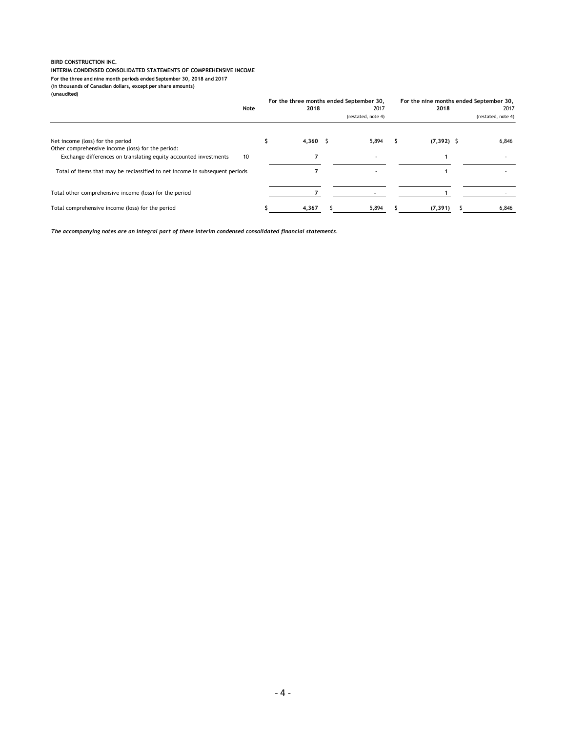#### **INTERIM CONDENSED CONSOLIDATED STATEMENTS OF COMPREHENSIVE INCOME**

**For the three and nine month periods ended September 30, 2018 and 2017**

**(in thousands of Canadian dollars, except per share amounts)**

**(unaudited)**

|                                                                                       |      |       | For the three months ended September 30, |              | For the nine months ended September 30, |  |  |
|---------------------------------------------------------------------------------------|------|-------|------------------------------------------|--------------|-----------------------------------------|--|--|
|                                                                                       | Note | 2018  | 2017                                     | 2018         | 2017                                    |  |  |
|                                                                                       |      |       | (restated, note 4)                       |              | (restated, note 4)                      |  |  |
| Net income (loss) for the period<br>Other comprehensive income (loss) for the period: |      | 4,360 | 5,894                                    | $(7,392)$ \$ | 6,846                                   |  |  |
| Exchange differences on translating equity accounted investments<br>10                |      |       |                                          |              |                                         |  |  |
| Total of items that may be reclassified to net income in subsequent periods           |      |       |                                          |              |                                         |  |  |
| Total other comprehensive income (loss) for the period                                |      |       |                                          |              |                                         |  |  |
| Total comprehensive income (loss) for the period                                      |      | 4,367 | 5,894                                    | (7, 391)     | 6,846                                   |  |  |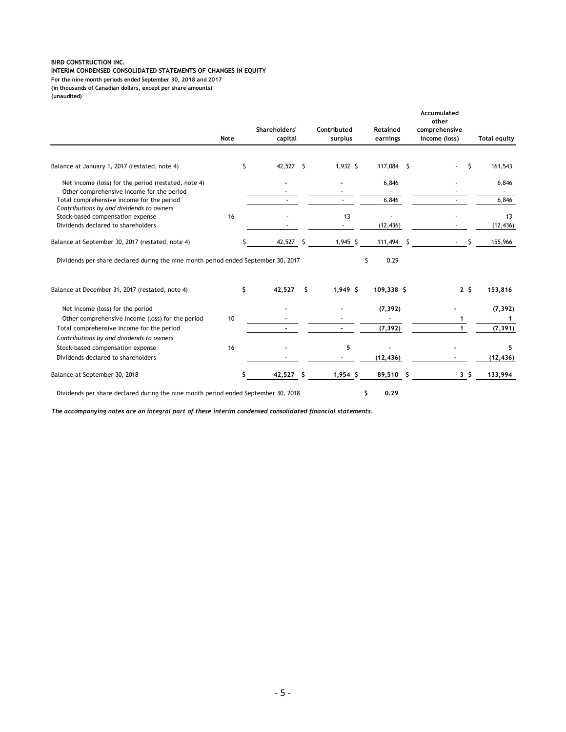**INTERIM CONDENSED CONSOLIDATED STATEMENTS OF CHANGES IN EQUITY (in thousands of Canadian dollars, except per share amounts) (unaudited) For the nine month periods ended September 30, 2018 and 2017**

|                                                                                                                                       |      | Shareholders'   |    | Contributed | Retained                 |   | Accumulated<br>other<br>comprehensive |                |                     |
|---------------------------------------------------------------------------------------------------------------------------------------|------|-----------------|----|-------------|--------------------------|---|---------------------------------------|----------------|---------------------|
|                                                                                                                                       | Note | capital         |    | surplus     | earnings                 |   | income (loss)                         |                | <b>Total equity</b> |
| Balance at January 1, 2017 (restated, note 4)                                                                                         |      | \$<br>42,527 \$ |    | 1,932 \$    | 117,084 \$               |   | ÷.                                    | Ŝ.             | 161,543             |
| Net income (loss) for the period (restated, note 4)                                                                                   |      |                 |    |             | 6,846                    |   |                                       |                | 6,846               |
| Other comprehensive income for the period                                                                                             |      |                 |    |             |                          |   |                                       |                |                     |
| Total comprehensive income for the period                                                                                             |      |                 |    |             | 6,846                    |   |                                       |                | 6,846               |
| Contributions by and dividends to owners<br>Stock-based compensation expense                                                          | 16   |                 |    | 13          |                          |   |                                       |                | 13                  |
| Dividends declared to shareholders                                                                                                    |      |                 |    |             | (12, 436)                |   |                                       |                | (12, 436)           |
|                                                                                                                                       |      |                 |    |             |                          |   |                                       |                |                     |
| Balance at September 30, 2017 (restated, note 4)                                                                                      |      | 42,527          | Ŝ  | $1,945$ \$  | 111,494                  | Ś | ÷.                                    |                | 155,966             |
| Dividends per share declared during the nine month period ended September 30, 2017<br>Balance at December 31, 2017 (restated, note 4) |      | \$<br>42,527    | Ŝ. | $1,949$ \$  | Ś.<br>0.29<br>109,338 \$ |   |                                       | 2 <sup>5</sup> | 153,816             |
|                                                                                                                                       |      |                 |    |             |                          |   |                                       |                |                     |
| Net income (loss) for the period                                                                                                      |      |                 |    |             | (7, 392)                 |   |                                       |                | (7, 392)            |
| Other comprehensive income (loss) for the period                                                                                      | 10   |                 |    |             |                          |   | 1                                     |                | $\mathbf{1}$        |
| Total comprehensive income for the period                                                                                             |      |                 |    |             | (7, 392)                 |   | 1                                     |                | (7, 391)            |
| Contributions by and dividends to owners                                                                                              |      |                 |    |             |                          |   |                                       |                |                     |
| Stock-based compensation expense                                                                                                      | 16   |                 |    | 5           |                          |   |                                       |                | 5                   |
| Dividends declared to shareholders                                                                                                    |      |                 |    |             | (12, 436)                |   |                                       |                | (12, 436)           |
| Balance at September 30, 2018                                                                                                         |      | 42,527          | -S | $1,954$ \$  | 89,510 \$                |   |                                       | 35             | 133,994             |
| Dividends per share declared during the nine month period ended September 30, 2018                                                    |      |                 |    |             | \$<br>0.29               |   |                                       |                |                     |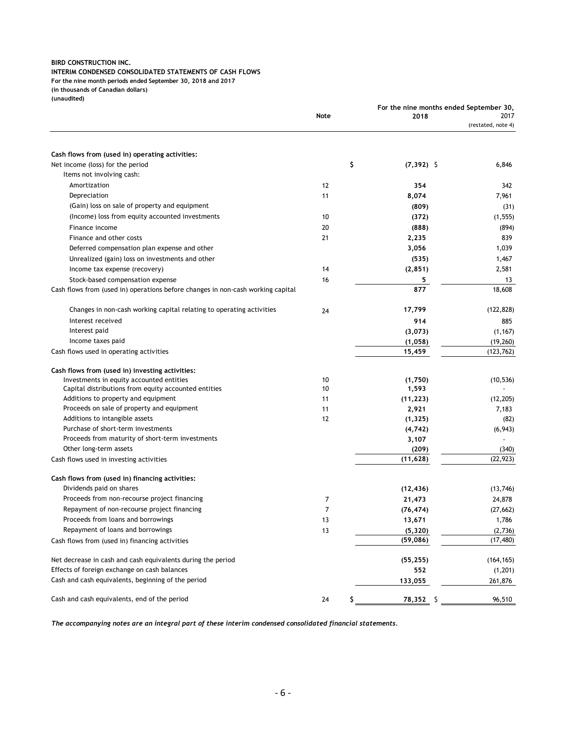#### **INTERIM CONDENSED CONSOLIDATED STATEMENTS OF CASH FLOWS**

**For the nine month periods ended September 30, 2018 and 2017**

**(in thousands of Canadian dollars)**

**(unaudited)**

|                                                                                 |      |    |                      | For the nine months ended September 30, |                            |
|---------------------------------------------------------------------------------|------|----|----------------------|-----------------------------------------|----------------------------|
|                                                                                 | Note |    | 2018                 |                                         | 2017<br>(restated, note 4) |
|                                                                                 |      |    |                      |                                         |                            |
| Cash flows from (used in) operating activities:                                 |      |    |                      |                                         |                            |
| Net income (loss) for the period                                                |      | \$ | $(7,392)$ \$         |                                         | 6,846                      |
| Items not involving cash:                                                       |      |    |                      |                                         |                            |
| Amortization                                                                    | 12   |    | 354                  |                                         | 342                        |
| Depreciation                                                                    | 11   |    | 8,074                |                                         | 7,961                      |
| (Gain) loss on sale of property and equipment                                   |      |    | (809)                |                                         | (31)                       |
| (Income) loss from equity accounted investments                                 | 10   |    | (372)                |                                         | (1, 555)                   |
| Finance income                                                                  | 20   |    | (888)                |                                         | (894)                      |
| Finance and other costs                                                         | 21   |    | 2,235                |                                         | 839                        |
| Deferred compensation plan expense and other                                    |      |    | 3,056                |                                         | 1,039                      |
| Unrealized (gain) loss on investments and other                                 |      |    | (535)                |                                         | 1,467                      |
| Income tax expense (recovery)                                                   | 14   |    | (2, 851)             |                                         | 2,581                      |
| Stock-based compensation expense                                                | 16   |    | 5                    |                                         | 13                         |
| Cash flows from (used in) operations before changes in non-cash working capital |      |    | 877                  |                                         | 18,608                     |
| Changes in non-cash working capital relating to operating activities            | 24   |    | 17,799               |                                         | (122, 828)                 |
| Interest received                                                               |      |    | 914                  |                                         | 885                        |
| Interest paid                                                                   |      |    | (3,073)              |                                         | (1, 167)                   |
| Income taxes paid                                                               |      |    | (1,058)              |                                         | (19, 260)                  |
| Cash flows used in operating activities                                         |      |    | 15,459               |                                         | (123, 762)                 |
| Cash flows from (used in) investing activities:                                 |      |    |                      |                                         |                            |
| Investments in equity accounted entities                                        | 10   |    | (1,750)              |                                         | (10, 536)                  |
| Capital distributions from equity accounted entities                            | 10   |    | 1,593                |                                         |                            |
| Additions to property and equipment                                             | 11   |    | (11, 223)            |                                         | (12, 205)                  |
| Proceeds on sale of property and equipment                                      | 11   |    | 2,921                |                                         | 7,183                      |
| Additions to intangible assets                                                  | 12   |    | (1, 325)             |                                         | (82)                       |
| Purchase of short-term investments                                              |      |    | (4, 742)             |                                         | (6, 943)                   |
| Proceeds from maturity of short-term investments                                |      |    | 3,107                |                                         |                            |
| Other long-term assets                                                          |      |    | (209)                |                                         | (340)<br>(22, 923)         |
| Cash flows used in investing activities                                         |      |    | (11, 628)            |                                         |                            |
| Cash flows from (used in) financing activities:<br>Dividends paid on shares     |      |    | (12, 436)            |                                         | (13,746)                   |
| Proceeds from non-recourse project financing                                    | 7    |    | 21,473               |                                         | 24,878                     |
| Repayment of non-recourse project financing                                     | 7    |    | (76, 474)            |                                         | (27, 662)                  |
| Proceeds from loans and borrowings                                              | 13   |    | 13,671               |                                         | 1,786                      |
| Repayment of loans and borrowings                                               | 13   |    |                      |                                         | (2,736)                    |
| Cash flows from (used in) financing activities                                  |      |    | (5, 320)<br>(59,086) |                                         | (17, 480)                  |
| Net decrease in cash and cash equivalents during the period                     |      |    | (55, 255)            |                                         | (164, 165)                 |
| Effects of foreign exchange on cash balances                                    |      |    | 552                  |                                         | (1,201)                    |
| Cash and cash equivalents, beginning of the period                              |      |    | 133,055              |                                         | 261,876                    |
| Cash and cash equivalents, end of the period                                    | 24   | Ş  | 78,352 \$            |                                         | 96,510                     |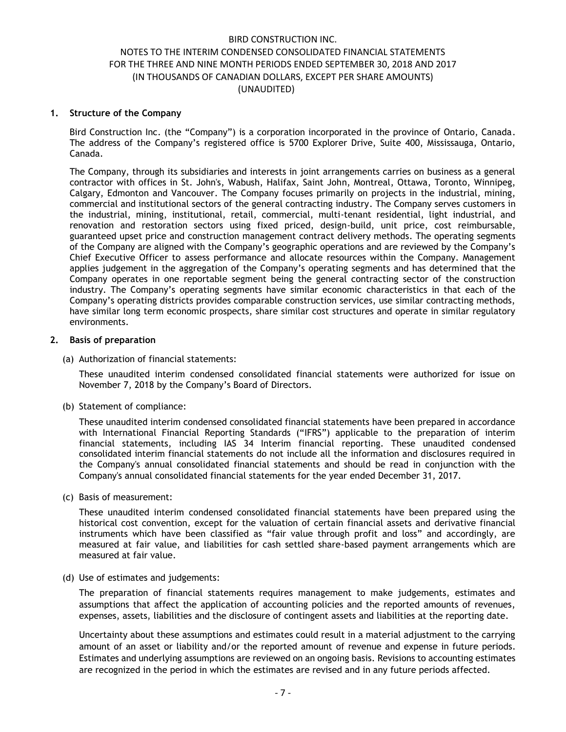### **1. Structure of the Company**

Bird Construction Inc. (the "Company") is a corporation incorporated in the province of Ontario, Canada. The address of the Company's registered office is 5700 Explorer Drive, Suite 400, Mississauga, Ontario, Canada.

The Company, through its subsidiaries and interests in joint arrangements carries on business as a general contractor with offices in St. John's, Wabush, Halifax, Saint John, Montreal, Ottawa, Toronto, Winnipeg, Calgary, Edmonton and Vancouver. The Company focuses primarily on projects in the industrial, mining, commercial and institutional sectors of the general contracting industry. The Company serves customers in the industrial, mining, institutional, retail, commercial, multi-tenant residential, light industrial, and renovation and restoration sectors using fixed priced, design-build, unit price, cost reimbursable, guaranteed upset price and construction management contract delivery methods. The operating segments of the Company are aligned with the Company's geographic operations and are reviewed by the Company's Chief Executive Officer to assess performance and allocate resources within the Company. Management applies judgement in the aggregation of the Company's operating segments and has determined that the Company operates in one reportable segment being the general contracting sector of the construction industry. The Company's operating segments have similar economic characteristics in that each of the Company's operating districts provides comparable construction services, use similar contracting methods, have similar long term economic prospects, share similar cost structures and operate in similar regulatory environments.

### **2. Basis of preparation**

(a) Authorization of financial statements:

These unaudited interim condensed consolidated financial statements were authorized for issue on November 7, 2018 by the Company's Board of Directors.

(b) Statement of compliance:

These unaudited interim condensed consolidated financial statements have been prepared in accordance with International Financial Reporting Standards ("IFRS") applicable to the preparation of interim financial statements, including IAS 34 Interim financial reporting. These unaudited condensed consolidated interim financial statements do not include all the information and disclosures required in the Company's annual consolidated financial statements and should be read in conjunction with the Company's annual consolidated financial statements for the year ended December 31, 2017.

(c) Basis of measurement:

These unaudited interim condensed consolidated financial statements have been prepared using the historical cost convention, except for the valuation of certain financial assets and derivative financial instruments which have been classified as "fair value through profit and loss" and accordingly, are measured at fair value, and liabilities for cash settled share-based payment arrangements which are measured at fair value.

(d) Use of estimates and judgements:

The preparation of financial statements requires management to make judgements, estimates and assumptions that affect the application of accounting policies and the reported amounts of revenues, expenses, assets, liabilities and the disclosure of contingent assets and liabilities at the reporting date.

Uncertainty about these assumptions and estimates could result in a material adjustment to the carrying amount of an asset or liability and/or the reported amount of revenue and expense in future periods. Estimates and underlying assumptions are reviewed on an ongoing basis. Revisions to accounting estimates are recognized in the period in which the estimates are revised and in any future periods affected.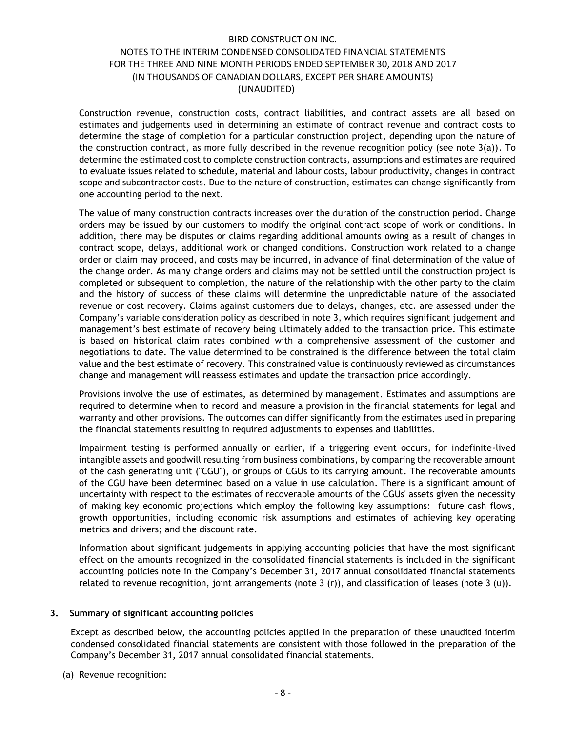Construction revenue, construction costs, contract liabilities, and contract assets are all based on estimates and judgements used in determining an estimate of contract revenue and contract costs to determine the stage of completion for a particular construction project, depending upon the nature of the construction contract, as more fully described in the revenue recognition policy (see note  $3(a)$ ). To determine the estimated cost to complete construction contracts, assumptions and estimates are required to evaluate issues related to schedule, material and labour costs, labour productivity, changes in contract scope and subcontractor costs. Due to the nature of construction, estimates can change significantly from one accounting period to the next.

The value of many construction contracts increases over the duration of the construction period. Change orders may be issued by our customers to modify the original contract scope of work or conditions. In addition, there may be disputes or claims regarding additional amounts owing as a result of changes in contract scope, delays, additional work or changed conditions. Construction work related to a change order or claim may proceed, and costs may be incurred, in advance of final determination of the value of the change order. As many change orders and claims may not be settled until the construction project is completed or subsequent to completion, the nature of the relationship with the other party to the claim and the history of success of these claims will determine the unpredictable nature of the associated revenue or cost recovery. Claims against customers due to delays, changes, etc. are assessed under the Company's variable consideration policy as described in note 3, which requires significant judgement and management's best estimate of recovery being ultimately added to the transaction price. This estimate is based on historical claim rates combined with a comprehensive assessment of the customer and negotiations to date. The value determined to be constrained is the difference between the total claim value and the best estimate of recovery. This constrained value is continuously reviewed as circumstances change and management will reassess estimates and update the transaction price accordingly.

Provisions involve the use of estimates, as determined by management. Estimates and assumptions are required to determine when to record and measure a provision in the financial statements for legal and warranty and other provisions. The outcomes can differ significantly from the estimates used in preparing the financial statements resulting in required adjustments to expenses and liabilities.

Impairment testing is performed annually or earlier, if a triggering event occurs, for indefinite-lived intangible assets and goodwill resulting from business combinations, by comparing the recoverable amount of the cash generating unit ("CGU"), or groups of CGUs to its carrying amount. The recoverable amounts of the CGU have been determined based on a value in use calculation. There is a significant amount of uncertainty with respect to the estimates of recoverable amounts of the CGUs' assets given the necessity of making key economic projections which employ the following key assumptions: future cash flows, growth opportunities, including economic risk assumptions and estimates of achieving key operating metrics and drivers; and the discount rate.

Information about significant judgements in applying accounting policies that have the most significant effect on the amounts recognized in the consolidated financial statements is included in the significant accounting policies note in the Company's December 31, 2017 annual consolidated financial statements related to revenue recognition, joint arrangements (note 3  $(r)$ ), and classification of leases (note 3  $(u)$ ).

### **3. Summary of significant accounting policies**

Except as described below, the accounting policies applied in the preparation of these unaudited interim condensed consolidated financial statements are consistent with those followed in the preparation of the Company's December 31, 2017 annual consolidated financial statements.

(a) Revenue recognition: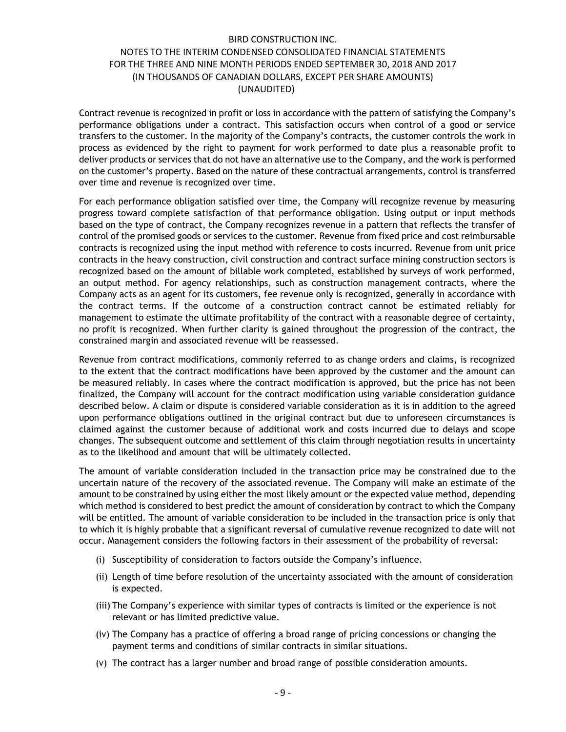Contract revenue is recognized in profit or loss in accordance with the pattern of satisfying the Company's performance obligations under a contract. This satisfaction occurs when control of a good or service transfers to the customer. In the majority of the Company's contracts, the customer controls the work in process as evidenced by the right to payment for work performed to date plus a reasonable profit to deliver products or services that do not have an alternative use to the Company, and the work is performed on the customer's property. Based on the nature of these contractual arrangements, control is transferred over time and revenue is recognized over time.

For each performance obligation satisfied over time, the Company will recognize revenue by measuring progress toward complete satisfaction of that performance obligation. Using output or input methods based on the type of contract, the Company recognizes revenue in a pattern that reflects the transfer of control of the promised goods or services to the customer. Revenue from fixed price and cost reimbursable contracts is recognized using the input method with reference to costs incurred. Revenue from unit price contracts in the heavy construction, civil construction and contract surface mining construction sectors is recognized based on the amount of billable work completed, established by surveys of work performed, an output method. For agency relationships, such as construction management contracts, where the Company acts as an agent for its customers, fee revenue only is recognized, generally in accordance with the contract terms. If the outcome of a construction contract cannot be estimated reliably for management to estimate the ultimate profitability of the contract with a reasonable degree of certainty, no profit is recognized. When further clarity is gained throughout the progression of the contract, the constrained margin and associated revenue will be reassessed.

Revenue from contract modifications, commonly referred to as change orders and claims, is recognized to the extent that the contract modifications have been approved by the customer and the amount can be measured reliably. In cases where the contract modification is approved, but the price has not been finalized, the Company will account for the contract modification using variable consideration guidance described below. A claim or dispute is considered variable consideration as it is in addition to the agreed upon performance obligations outlined in the original contract but due to unforeseen circumstances is claimed against the customer because of additional work and costs incurred due to delays and scope changes. The subsequent outcome and settlement of this claim through negotiation results in uncertainty as to the likelihood and amount that will be ultimately collected.

The amount of variable consideration included in the transaction price may be constrained due to the uncertain nature of the recovery of the associated revenue. The Company will make an estimate of the amount to be constrained by using either the most likely amount or the expected value method, depending which method is considered to best predict the amount of consideration by contract to which the Company will be entitled. The amount of variable consideration to be included in the transaction price is only that to which it is highly probable that a significant reversal of cumulative revenue recognized to date will not occur. Management considers the following factors in their assessment of the probability of reversal:

- (i) Susceptibility of consideration to factors outside the Company's influence.
- (ii) Length of time before resolution of the uncertainty associated with the amount of consideration is expected.
- (iii) The Company's experience with similar types of contracts is limited or the experience is not relevant or has limited predictive value.
- (iv) The Company has a practice of offering a broad range of pricing concessions or changing the payment terms and conditions of similar contracts in similar situations.
- (v) The contract has a larger number and broad range of possible consideration amounts.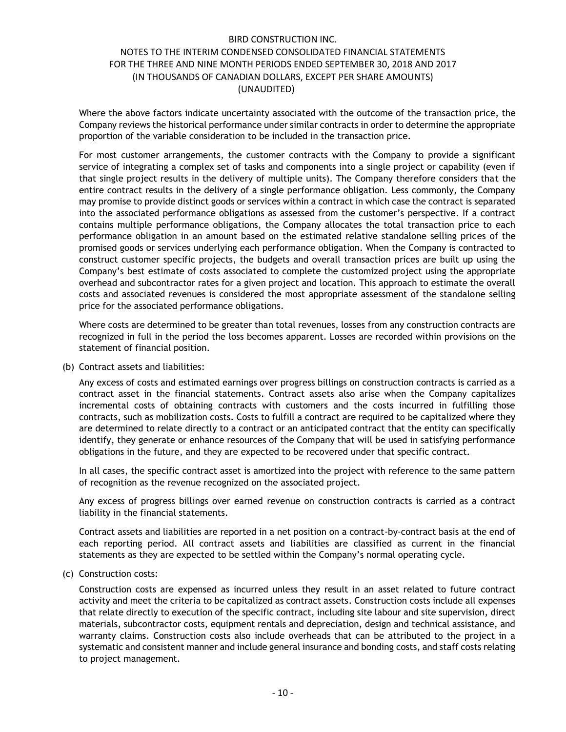Where the above factors indicate uncertainty associated with the outcome of the transaction price, the Company reviews the historical performance under similar contracts in order to determine the appropriate proportion of the variable consideration to be included in the transaction price.

For most customer arrangements, the customer contracts with the Company to provide a significant service of integrating a complex set of tasks and components into a single project or capability (even if that single project results in the delivery of multiple units). The Company therefore considers that the entire contract results in the delivery of a single performance obligation. Less commonly, the Company may promise to provide distinct goods or services within a contract in which case the contract is separated into the associated performance obligations as assessed from the customer's perspective. If a contract contains multiple performance obligations, the Company allocates the total transaction price to each performance obligation in an amount based on the estimated relative standalone selling prices of the promised goods or services underlying each performance obligation. When the Company is contracted to construct customer specific projects, the budgets and overall transaction prices are built up using the Company's best estimate of costs associated to complete the customized project using the appropriate overhead and subcontractor rates for a given project and location. This approach to estimate the overall costs and associated revenues is considered the most appropriate assessment of the standalone selling price for the associated performance obligations.

Where costs are determined to be greater than total revenues, losses from any construction contracts are recognized in full in the period the loss becomes apparent. Losses are recorded within provisions on the statement of financial position.

(b) Contract assets and liabilities:

Any excess of costs and estimated earnings over progress billings on construction contracts is carried as a contract asset in the financial statements. Contract assets also arise when the Company capitalizes incremental costs of obtaining contracts with customers and the costs incurred in fulfilling those contracts, such as mobilization costs. Costs to fulfill a contract are required to be capitalized where they are determined to relate directly to a contract or an anticipated contract that the entity can specifically identify, they generate or enhance resources of the Company that will be used in satisfying performance obligations in the future, and they are expected to be recovered under that specific contract.

In all cases, the specific contract asset is amortized into the project with reference to the same pattern of recognition as the revenue recognized on the associated project.

Any excess of progress billings over earned revenue on construction contracts is carried as a contract liability in the financial statements.

Contract assets and liabilities are reported in a net position on a contract-by-contract basis at the end of each reporting period. All contract assets and liabilities are classified as current in the financial statements as they are expected to be settled within the Company's normal operating cycle.

(c) Construction costs:

Construction costs are expensed as incurred unless they result in an asset related to future contract activity and meet the criteria to be capitalized as contract assets. Construction costs include all expenses that relate directly to execution of the specific contract, including site labour and site supervision, direct materials, subcontractor costs, equipment rentals and depreciation, design and technical assistance, and warranty claims. Construction costs also include overheads that can be attributed to the project in a systematic and consistent manner and include general insurance and bonding costs, and staff costs relating to project management.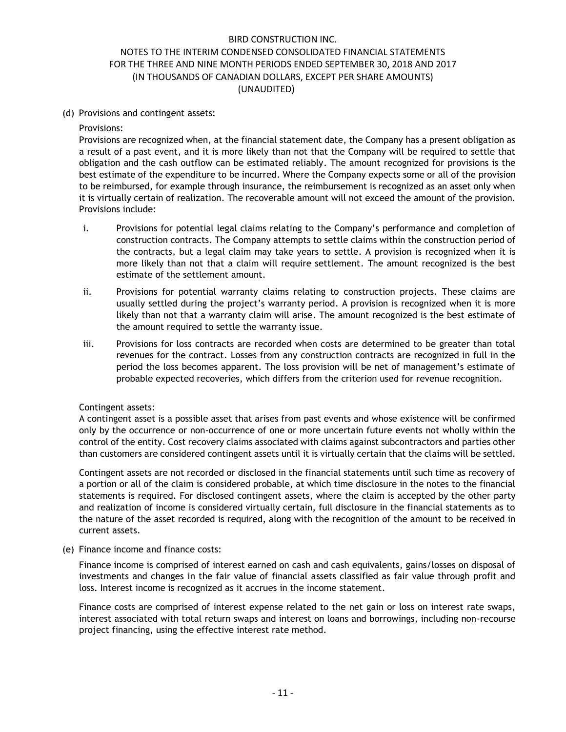(d) Provisions and contingent assets:

### Provisions:

Provisions are recognized when, at the financial statement date, the Company has a present obligation as a result of a past event, and it is more likely than not that the Company will be required to settle that obligation and the cash outflow can be estimated reliably. The amount recognized for provisions is the best estimate of the expenditure to be incurred. Where the Company expects some or all of the provision to be reimbursed, for example through insurance, the reimbursement is recognized as an asset only when it is virtually certain of realization. The recoverable amount will not exceed the amount of the provision. Provisions include:

- i. Provisions for potential legal claims relating to the Company's performance and completion of construction contracts. The Company attempts to settle claims within the construction period of the contracts, but a legal claim may take years to settle. A provision is recognized when it is more likely than not that a claim will require settlement. The amount recognized is the best estimate of the settlement amount.
- ii. Provisions for potential warranty claims relating to construction projects. These claims are usually settled during the project's warranty period. A provision is recognized when it is more likely than not that a warranty claim will arise. The amount recognized is the best estimate of the amount required to settle the warranty issue.
- iii. Provisions for loss contracts are recorded when costs are determined to be greater than total revenues for the contract. Losses from any construction contracts are recognized in full in the period the loss becomes apparent. The loss provision will be net of management's estimate of probable expected recoveries, which differs from the criterion used for revenue recognition.

# Contingent assets:

A contingent asset is a possible asset that arises from past events and whose existence will be confirmed only by the occurrence or non-occurrence of one or more uncertain future events not wholly within the control of the entity. Cost recovery claims associated with claims against subcontractors and parties other than customers are considered contingent assets until it is virtually certain that the claims will be settled.

Contingent assets are not recorded or disclosed in the financial statements until such time as recovery of a portion or all of the claim is considered probable, at which time disclosure in the notes to the financial statements is required. For disclosed contingent assets, where the claim is accepted by the other party and realization of income is considered virtually certain, full disclosure in the financial statements as to the nature of the asset recorded is required, along with the recognition of the amount to be received in current assets.

(e) Finance income and finance costs:

Finance income is comprised of interest earned on cash and cash equivalents, gains/losses on disposal of investments and changes in the fair value of financial assets classified as fair value through profit and loss. Interest income is recognized as it accrues in the income statement.

Finance costs are comprised of interest expense related to the net gain or loss on interest rate swaps, interest associated with total return swaps and interest on loans and borrowings, including non-recourse project financing, using the effective interest rate method.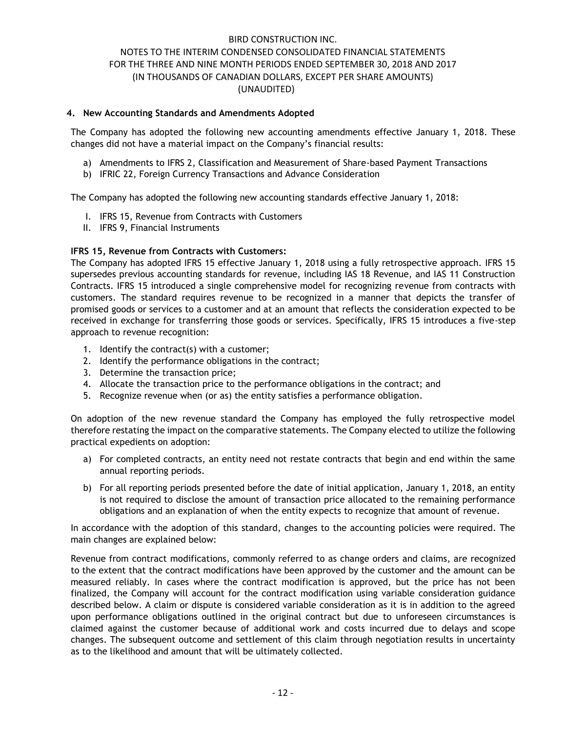### **4. New Accounting Standards and Amendments Adopted**

The Company has adopted the following new accounting amendments effective January 1, 2018. These changes did not have a material impact on the Company's financial results:

- a) Amendments to IFRS 2, Classification and Measurement of Share-based Payment Transactions
- b) IFRIC 22, Foreign Currency Transactions and Advance Consideration

The Company has adopted the following new accounting standards effective January 1, 2018:

- I. IFRS 15, Revenue from Contracts with Customers
- II. IFRS 9, Financial Instruments

# **IFRS 15, Revenue from Contracts with Customers:**

The Company has adopted IFRS 15 effective January 1, 2018 using a fully retrospective approach. IFRS 15 supersedes previous accounting standards for revenue, including IAS 18 Revenue, and IAS 11 Construction Contracts. IFRS 15 introduced a single comprehensive model for recognizing revenue from contracts with customers. The standard requires revenue to be recognized in a manner that depicts the transfer of promised goods or services to a customer and at an amount that reflects the consideration expected to be received in exchange for transferring those goods or services. Specifically, IFRS 15 introduces a five-step approach to revenue recognition:

- 1. Identify the contract(s) with a customer;
- 2. Identify the performance obligations in the contract;
- 3. Determine the transaction price;
- 4. Allocate the transaction price to the performance obligations in the contract; and
- 5. Recognize revenue when (or as) the entity satisfies a performance obligation.

On adoption of the new revenue standard the Company has employed the fully retrospective model therefore restating the impact on the comparative statements. The Company elected to utilize the following practical expedients on adoption:

- a) For completed contracts, an entity need not restate contracts that begin and end within the same annual reporting periods.
- b) For all reporting periods presented before the date of initial application, January 1, 2018, an entity is not required to disclose the amount of transaction price allocated to the remaining performance obligations and an explanation of when the entity expects to recognize that amount of revenue.

In accordance with the adoption of this standard, changes to the accounting policies were required. The main changes are explained below:

Revenue from contract modifications, commonly referred to as change orders and claims, are recognized to the extent that the contract modifications have been approved by the customer and the amount can be measured reliably. In cases where the contract modification is approved, but the price has not been finalized, the Company will account for the contract modification using variable consideration guidance described below. A claim or dispute is considered variable consideration as it is in addition to the agreed upon performance obligations outlined in the original contract but due to unforeseen circumstances is claimed against the customer because of additional work and costs incurred due to delays and scope changes. The subsequent outcome and settlement of this claim through negotiation results in uncertainty as to the likelihood and amount that will be ultimately collected.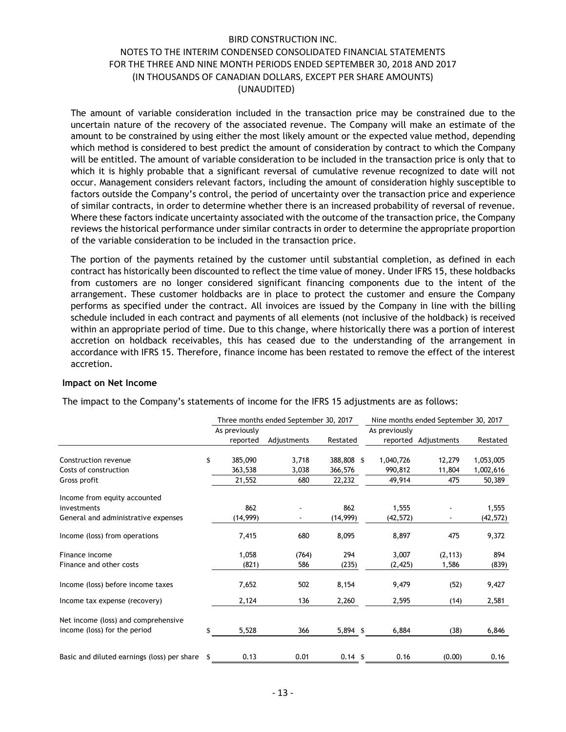The amount of variable consideration included in the transaction price may be constrained due to the uncertain nature of the recovery of the associated revenue. The Company will make an estimate of the amount to be constrained by using either the most likely amount or the expected value method, depending which method is considered to best predict the amount of consideration by contract to which the Company will be entitled. The amount of variable consideration to be included in the transaction price is only that to which it is highly probable that a significant reversal of cumulative revenue recognized to date will not occur. Management considers relevant factors, including the amount of consideration highly susceptible to factors outside the Company's control, the period of uncertainty over the transaction price and experience of similar contracts, in order to determine whether there is an increased probability of reversal of revenue. Where these factors indicate uncertainty associated with the outcome of the transaction price, the Company reviews the historical performance under similar contracts in order to determine the appropriate proportion of the variable consideration to be included in the transaction price.

The portion of the payments retained by the customer until substantial completion, as defined in each contract has historically been discounted to reflect the time value of money. Under IFRS 15, these holdbacks from customers are no longer considered significant financing components due to the intent of the arrangement. These customer holdbacks are in place to protect the customer and ensure the Company performs as specified under the contract. All invoices are issued by the Company in line with the billing schedule included in each contract and payments of all elements (not inclusive of the holdback) is received within an appropriate period of time. Due to this change, where historically there was a portion of interest accretion on holdback receivables, this has ceased due to the understanding of the arrangement in accordance with IFRS 15. Therefore, finance income has been restated to remove the effect of the interest accretion.

### **Impact on Net Income**

|                                             |     |               | Three months ended September 30, 2017 |                    |               | Nine months ended September 30, 2017 |           |
|---------------------------------------------|-----|---------------|---------------------------------------|--------------------|---------------|--------------------------------------|-----------|
|                                             |     | As previously |                                       |                    | As previously |                                      |           |
|                                             |     | reported      | Adjustments                           | Restated           |               | reported Adjustments                 | Restated  |
| Construction revenue                        | \$  | 385,090       | 3,718                                 | 388,808 \$         | 1,040,726     | 12,279                               | 1,053,005 |
| Costs of construction                       |     | 363,538       | 3,038                                 | 366,576            | 990,812       | 11,804                               | 1,002,616 |
| Gross profit                                |     | 21,552        | 680                                   | 22,232             | 49,914        | 475                                  | 50,389    |
| Income from equity accounted                |     |               |                                       |                    |               |                                      |           |
| investments                                 |     | 862           |                                       | 862                | 1,555         |                                      | 1,555     |
| General and administrative expenses         |     | (14, 999)     | $\blacksquare$                        | (14,999)           | (42, 572)     |                                      | (42, 572) |
| Income (loss) from operations               |     | 7,415         | 680                                   | 8,095              | 8,897         | 475                                  | 9,372     |
| Finance income                              |     | 1,058         | (764)                                 | 294                | 3,007         | (2, 113)                             | 894       |
| Finance and other costs                     |     | (821)         | 586                                   | (235)              | (2, 425)      | 1,586                                | (839)     |
| Income (loss) before income taxes           |     | 7,652         | 502                                   | 8,154              | 9,479         | (52)                                 | 9,427     |
| Income tax expense (recovery)               |     | 2,124         | 136                                   | 2,260              | 2,595         | (14)                                 | 2,581     |
| Net income (loss) and comprehensive         |     |               |                                       |                    |               |                                      |           |
| income (loss) for the period                | \$. | 5,528         | 366                                   | $5,894$ \$         | 6,884         | (38)                                 | 6,846     |
|                                             |     |               |                                       |                    |               |                                      |           |
| Basic and diluted earnings (loss) per share | \$. | 0.13          | 0.01                                  | $0.14 \text{ }$ \$ | 0.16          | (0.00)                               | 0.16      |

The impact to the Company's statements of income for the IFRS 15 adjustments are as follows: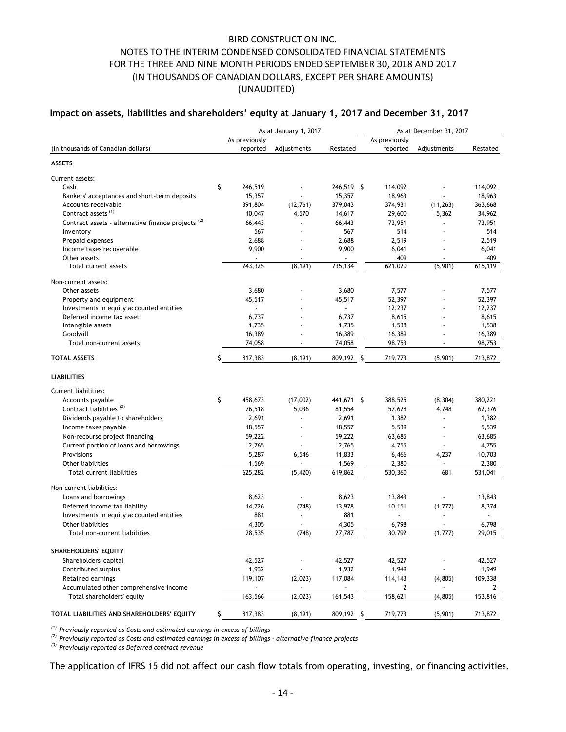# **Impact on assets, liabilities and shareholders' equity at January 1, 2017 and December 31, 2017**

|                                                                                                                                                                                                                                                                               |                 | As at January 1, 2017                                                                                              |                 | As at December 31, 2017 |                          |                 |  |
|-------------------------------------------------------------------------------------------------------------------------------------------------------------------------------------------------------------------------------------------------------------------------------|-----------------|--------------------------------------------------------------------------------------------------------------------|-----------------|-------------------------|--------------------------|-----------------|--|
|                                                                                                                                                                                                                                                                               | As previously   |                                                                                                                    |                 | As previously           |                          |                 |  |
| (in thousands of Canadian dollars)                                                                                                                                                                                                                                            | reported        | Adjustments                                                                                                        | Restated        | reported                | Adjustments              | Restated        |  |
| <b>ASSETS</b>                                                                                                                                                                                                                                                                 |                 |                                                                                                                    |                 |                         |                          |                 |  |
| Current assets:                                                                                                                                                                                                                                                               |                 |                                                                                                                    |                 |                         |                          |                 |  |
| Cash                                                                                                                                                                                                                                                                          | \$<br>246,519   |                                                                                                                    | 246,519 \$      | 114,092                 |                          | 114,092         |  |
| Bankers' acceptances and short-term deposits                                                                                                                                                                                                                                  | 15,357          |                                                                                                                    | 15,357          | 18,963                  |                          | 18,963          |  |
| Accounts receivable                                                                                                                                                                                                                                                           | 391,804         | (12,761)                                                                                                           | 379,043         | 374,931                 | (11, 263)                | 363,668         |  |
| Contract assets <sup>(1)</sup>                                                                                                                                                                                                                                                | 10,047          | 4,570                                                                                                              | 14,617          | 29,600                  | 5,362                    | 34,962          |  |
| Contract assets - alternative finance projects <sup>(2)</sup>                                                                                                                                                                                                                 | 66,443          | ÷.                                                                                                                 | 66,443          | 73,951                  |                          | 73,951          |  |
| Inventory                                                                                                                                                                                                                                                                     | 567             |                                                                                                                    | 567             | 514                     |                          | 514             |  |
| Prepaid expenses                                                                                                                                                                                                                                                              | 2,688           |                                                                                                                    | 2,688           | 2,519                   |                          | 2,519           |  |
| Income taxes recoverable                                                                                                                                                                                                                                                      | 9,900           | ÷,                                                                                                                 | 9,900           | 6,041                   |                          | 6,041           |  |
| Other assets<br>Total current assets                                                                                                                                                                                                                                          | 743,325         | (8, 191)                                                                                                           | 735,134         | 409<br>621,020          | (5,901)                  | 409<br>615,119  |  |
|                                                                                                                                                                                                                                                                               |                 |                                                                                                                    |                 |                         |                          |                 |  |
| Non-current assets:                                                                                                                                                                                                                                                           |                 |                                                                                                                    |                 |                         |                          |                 |  |
| Other assets<br>Property and equipment                                                                                                                                                                                                                                        | 3,680<br>45,517 |                                                                                                                    | 3,680<br>45,517 | 7,577<br>52,397         |                          | 7,577<br>52,397 |  |
| Investments in equity accounted entities                                                                                                                                                                                                                                      |                 |                                                                                                                    |                 | 12,237                  |                          | 12,237          |  |
| Deferred income tax asset                                                                                                                                                                                                                                                     | 6,737           |                                                                                                                    | 6,737           | 8,615                   |                          | 8,615           |  |
| Intangible assets                                                                                                                                                                                                                                                             | 1,735           |                                                                                                                    | 1,735           | 1,538                   |                          | 1,538           |  |
| Goodwill                                                                                                                                                                                                                                                                      | 16,389          | ÷,                                                                                                                 | 16,389          | 16,389                  |                          | 16,389          |  |
| Total non-current assets                                                                                                                                                                                                                                                      | 74,058          | $\overline{a}$                                                                                                     | 74,058          | 98,753                  | $\tilde{\phantom{a}}$    | 98,753          |  |
| <b>TOTAL ASSETS</b>                                                                                                                                                                                                                                                           | \$<br>817,383   | (8, 191)                                                                                                           | 809,192 \$      | 719,773                 | (5,901)                  | 713,872         |  |
|                                                                                                                                                                                                                                                                               |                 |                                                                                                                    |                 |                         |                          |                 |  |
| <b>LIABILITIES</b>                                                                                                                                                                                                                                                            |                 |                                                                                                                    |                 |                         |                          |                 |  |
| Current liabilities:                                                                                                                                                                                                                                                          |                 |                                                                                                                    |                 |                         |                          |                 |  |
| Accounts payable                                                                                                                                                                                                                                                              | \$<br>458,673   | (17,002)                                                                                                           | 441,671 \$      | 388,525                 | (8, 304)                 | 380,221         |  |
| Contract liabilities <sup>(3)</sup>                                                                                                                                                                                                                                           | 76,518          | 5,036                                                                                                              | 81,554          | 57,628                  | 4,748                    | 62,376          |  |
| Dividends payable to shareholders                                                                                                                                                                                                                                             | 2,691           |                                                                                                                    | 2,691           | 1,382                   |                          | 1,382           |  |
| Income taxes payable                                                                                                                                                                                                                                                          | 18,557          | $\blacksquare$                                                                                                     | 18,557          | 5,539                   | $\overline{\phantom{a}}$ | 5,539           |  |
| Non-recourse project financing                                                                                                                                                                                                                                                | 59,222          | $\blacksquare$                                                                                                     | 59,222          | 63,685                  | $\overline{\phantom{a}}$ | 63,685          |  |
| Current portion of loans and borrowings                                                                                                                                                                                                                                       | 2,765           |                                                                                                                    | 2,765           | 4,755                   |                          | 4,755           |  |
| Provisions                                                                                                                                                                                                                                                                    | 5,287           | 6,546                                                                                                              | 11,833          | 6,466                   | 4,237                    | 10,703          |  |
| Other liabilities                                                                                                                                                                                                                                                             | 1,569           |                                                                                                                    | 1,569           | 2,380                   |                          | 2,380           |  |
| Total current liabilities                                                                                                                                                                                                                                                     | 625,282         | (5,420)                                                                                                            | 619,862         | 530,360                 | 681                      | 531,041         |  |
| Non-current liabilities:                                                                                                                                                                                                                                                      |                 |                                                                                                                    |                 |                         |                          |                 |  |
| Loans and borrowings                                                                                                                                                                                                                                                          | 8,623           |                                                                                                                    | 8,623           | 13,843                  |                          | 13,843          |  |
| Deferred income tax liability                                                                                                                                                                                                                                                 | 14,726          | (748)                                                                                                              | 13,978          | 10,151                  | (1,777)                  | 8,374           |  |
| Investments in equity accounted entities                                                                                                                                                                                                                                      | 881             | $\blacksquare$                                                                                                     | 881             | $\blacksquare$          |                          | ÷.              |  |
| Other liabilities                                                                                                                                                                                                                                                             | 4,305           |                                                                                                                    | 4,305           | 6,798                   |                          | 6,798           |  |
| Total non-current liabilities                                                                                                                                                                                                                                                 | 28,535          | (748)                                                                                                              | 27,787          | 30,792                  | (1,777)                  | 29,015          |  |
| SHAREHOLDERS' EQUITY                                                                                                                                                                                                                                                          |                 |                                                                                                                    |                 |                         |                          |                 |  |
| Shareholders' capital                                                                                                                                                                                                                                                         | 42,527          |                                                                                                                    | 42,527          | 42,527                  |                          | 42,527          |  |
| Contributed surplus                                                                                                                                                                                                                                                           | 1,932           |                                                                                                                    | 1,932           | 1,949                   |                          | 1,949           |  |
| Retained earnings                                                                                                                                                                                                                                                             | 119,107         | (2,023)                                                                                                            | 117,084         | 114,143                 | (4,805)                  | 109,338         |  |
| Accumulated other comprehensive income                                                                                                                                                                                                                                        | $\blacksquare$  | $\overline{\phantom{a}}$                                                                                           |                 | 2                       | $\overline{\phantom{a}}$ | 2               |  |
| Total shareholders' equity                                                                                                                                                                                                                                                    | 163,566         | (2,023)                                                                                                            | 161,543         | 158,621                 | (4, 805)                 | 153,816         |  |
| TOTAL LIABILITIES AND SHAREHOLDERS' EQUITY                                                                                                                                                                                                                                    | \$<br>817,383   | (8, 191)                                                                                                           | 809,192 \$      | 719,773                 | (5,901)                  | 713,872         |  |
| $(1)$ Previously reported as Costs and estimated earnings in excess of billings<br><sup>(2)</sup> Previously reported as Costs and estimated earnings in excess of billings - alternative finance projects<br><sup>(3)</sup> Previously reported as Deferred contract revenue |                 | The application of IFRS 15 did not affect our cash flow totals from operating, investing, or financing activities. |                 |                         |                          |                 |  |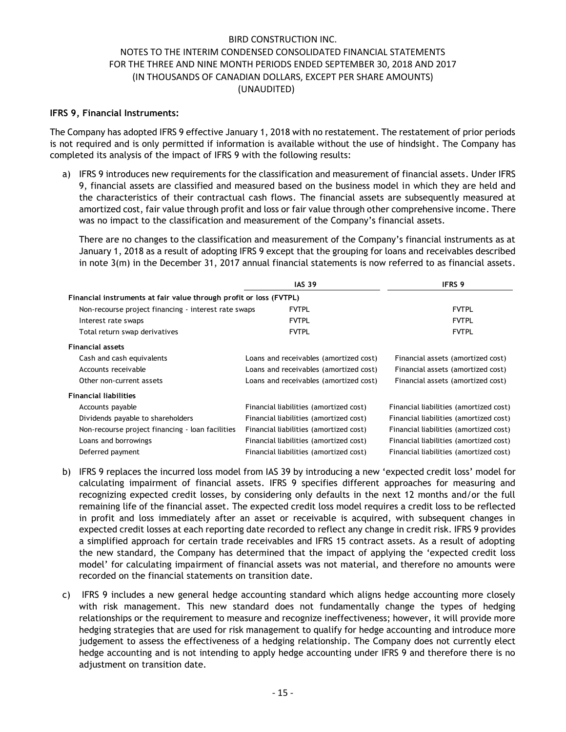### **IFRS 9, Financial Instruments:**

The Company has adopted IFRS 9 effective January 1, 2018 with no restatement. The restatement of prior periods is not required and is only permitted if information is available without the use of hindsight. The Company has completed its analysis of the impact of IFRS 9 with the following results:

a) IFRS 9 introduces new requirements for the classification and measurement of financial assets. Under IFRS 9, financial assets are classified and measured based on the business model in which they are held and the characteristics of their contractual cash flows. The financial assets are subsequently measured at amortized cost, fair value through profit and loss or fair value through other comprehensive income. There was no impact to the classification and measurement of the Company's financial assets.

There are no changes to the classification and measurement of the Company's financial instruments as at January 1, 2018 as a result of adopting IFRS 9 except that the grouping for loans and receivables described in note 3(m) in the December 31, 2017 annual financial statements is now referred to as financial assets.

|                                                                    | <b>IAS 39</b>                          |                                        |  |  |  |  |  |
|--------------------------------------------------------------------|----------------------------------------|----------------------------------------|--|--|--|--|--|
| Financial instruments at fair value through profit or loss (FVTPL) |                                        |                                        |  |  |  |  |  |
| Non-recourse project financing - interest rate swaps               | <b>FVTPL</b>                           | <b>FVTPL</b>                           |  |  |  |  |  |
| Interest rate swaps                                                | <b>FVTPL</b>                           | <b>FVTPL</b>                           |  |  |  |  |  |
| Total return swap derivatives                                      | <b>FVTPL</b>                           | <b>FVTPL</b>                           |  |  |  |  |  |
| <b>Financial assets</b>                                            |                                        |                                        |  |  |  |  |  |
| Cash and cash equivalents                                          | Loans and receivables (amortized cost) | Financial assets (amortized cost)      |  |  |  |  |  |
| Accounts receivable                                                | Loans and receivables (amortized cost) | Financial assets (amortized cost)      |  |  |  |  |  |
| Other non-current assets                                           | Loans and receivables (amortized cost) | Financial assets (amortized cost)      |  |  |  |  |  |
| <b>Financial liabilities</b>                                       |                                        |                                        |  |  |  |  |  |
| Accounts payable                                                   | Financial liabilities (amortized cost) | Financial liabilities (amortized cost) |  |  |  |  |  |
| Dividends payable to shareholders                                  | Financial liabilities (amortized cost) | Financial liabilities (amortized cost) |  |  |  |  |  |
| Non-recourse project financing - loan facilities                   | Financial liabilities (amortized cost) | Financial liabilities (amortized cost) |  |  |  |  |  |
| Loans and borrowings                                               | Financial liabilities (amortized cost) | Financial liabilities (amortized cost) |  |  |  |  |  |
| Deferred payment                                                   | Financial liabilities (amortized cost) | Financial liabilities (amortized cost) |  |  |  |  |  |

- b) IFRS 9 replaces the incurred loss model from IAS 39 by introducing a new 'expected credit loss' model for calculating impairment of financial assets. IFRS 9 specifies different approaches for measuring and recognizing expected credit losses, by considering only defaults in the next 12 months and/or the full remaining life of the financial asset. The expected credit loss model requires a credit loss to be reflected in profit and loss immediately after an asset or receivable is acquired, with subsequent changes in expected credit losses at each reporting date recorded to reflect any change in credit risk. IFRS 9 provides a simplified approach for certain trade receivables and IFRS 15 contract assets. As a result of adopting the new standard, the Company has determined that the impact of applying the 'expected credit loss model' for calculating impairment of financial assets was not material, and therefore no amounts were recorded on the financial statements on transition date.
- c) IFRS 9 includes a new general hedge accounting standard which aligns hedge accounting more closely with risk management. This new standard does not fundamentally change the types of hedging relationships or the requirement to measure and recognize ineffectiveness; however, it will provide more hedging strategies that are used for risk management to qualify for hedge accounting and introduce more judgement to assess the effectiveness of a hedging relationship. The Company does not currently elect hedge accounting and is not intending to apply hedge accounting under IFRS 9 and therefore there is no adjustment on transition date.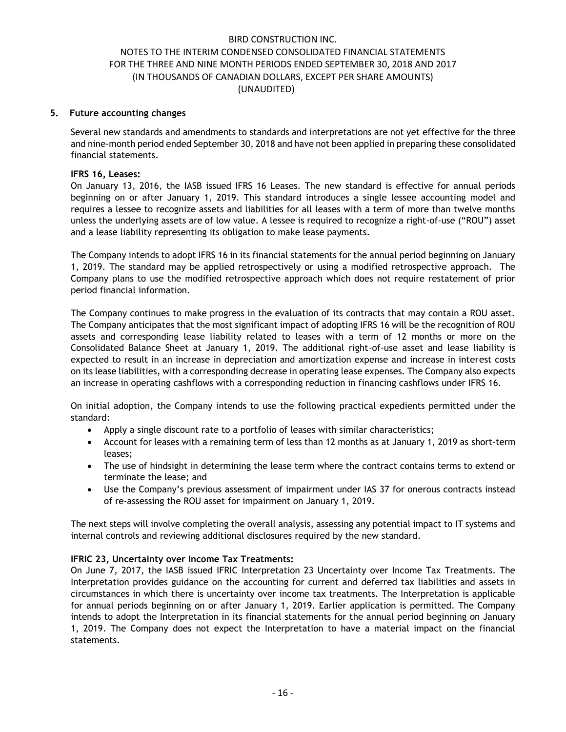## **5. Future accounting changes**

Several new standards and amendments to standards and interpretations are not yet effective for the three and nine-month period ended September 30, 2018 and have not been applied in preparing these consolidated financial statements.

### **IFRS 16, Leases:**

On January 13, 2016, the IASB issued IFRS 16 Leases. The new standard is effective for annual periods beginning on or after January 1, 2019. This standard introduces a single lessee accounting model and requires a lessee to recognize assets and liabilities for all leases with a term of more than twelve months unless the underlying assets are of low value. A lessee is required to recognize a right-of-use ("ROU") asset and a lease liability representing its obligation to make lease payments.

The Company intends to adopt IFRS 16 in its financial statements for the annual period beginning on January 1, 2019. The standard may be applied retrospectively or using a modified retrospective approach. The Company plans to use the modified retrospective approach which does not require restatement of prior period financial information.

The Company continues to make progress in the evaluation of its contracts that may contain a ROU asset. The Company anticipates that the most significant impact of adopting IFRS 16 will be the recognition of ROU assets and corresponding lease liability related to leases with a term of 12 months or more on the Consolidated Balance Sheet at January 1, 2019. The additional right-of-use asset and lease liability is expected to result in an increase in depreciation and amortization expense and increase in interest costs on its lease liabilities, with a corresponding decrease in operating lease expenses. The Company also expects an increase in operating cashflows with a corresponding reduction in financing cashflows under IFRS 16.

On initial adoption, the Company intends to use the following practical expedients permitted under the standard:

- Apply a single discount rate to a portfolio of leases with similar characteristics;
- Account for leases with a remaining term of less than 12 months as at January 1, 2019 as short-term leases;
- The use of hindsight in determining the lease term where the contract contains terms to extend or terminate the lease; and
- Use the Company's previous assessment of impairment under IAS 37 for onerous contracts instead of re-assessing the ROU asset for impairment on January 1, 2019.

The next steps will involve completing the overall analysis, assessing any potential impact to IT systems and internal controls and reviewing additional disclosures required by the new standard.

# **IFRIC 23, Uncertainty over Income Tax Treatments:**

On June 7, 2017, the IASB issued IFRIC Interpretation 23 Uncertainty over Income Tax Treatments. The Interpretation provides guidance on the accounting for current and deferred tax liabilities and assets in circumstances in which there is uncertainty over income tax treatments. The Interpretation is applicable for annual periods beginning on or after January 1, 2019. Earlier application is permitted. The Company intends to adopt the Interpretation in its financial statements for the annual period beginning on January 1, 2019. The Company does not expect the Interpretation to have a material impact on the financial statements.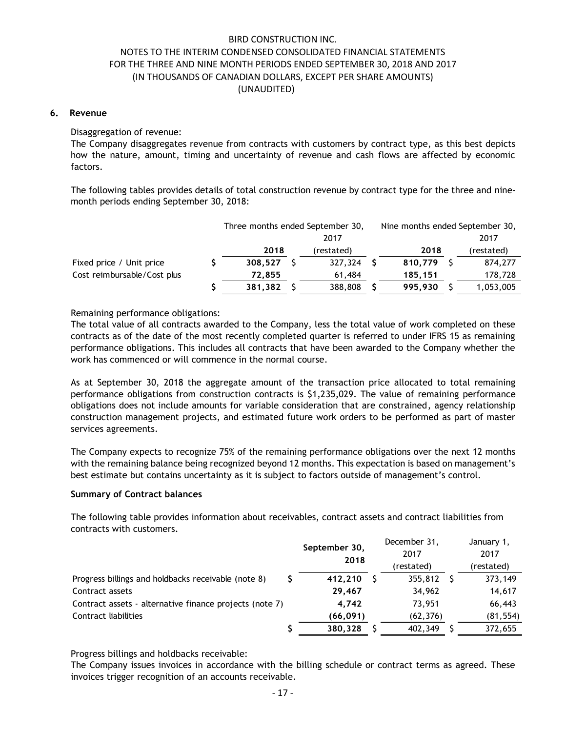### **6. Revenue**

Disaggregation of revenue:

The Company disaggregates revenue from contracts with customers by contract type, as this best depicts how the nature, amount, timing and uncertainty of revenue and cash flows are affected by economic factors.

The following tables provides details of total construction revenue by contract type for the three and ninemonth periods ending September 30, 2018:

|                             | Three months ended September 30, |      | Nine months ended September 30, |         |      |            |
|-----------------------------|----------------------------------|------|---------------------------------|---------|------|------------|
|                             |                                  | 2017 |                                 |         | 2017 |            |
|                             | 2018                             |      | (restated)                      | 2018    |      | (restated) |
| Fixed price / Unit price    | 308.527                          |      | 327,324                         | 810,779 |      | 874,277    |
| Cost reimbursable/Cost plus | 72.855                           |      | 61,484                          | 185,151 |      | 178,728    |
|                             | 381,382                          |      | 388,808                         | 995,930 |      | 1,053,005  |

Remaining performance obligations:

The total value of all contracts awarded to the Company, less the total value of work completed on these contracts as of the date of the most recently completed quarter is referred to under IFRS 15 as remaining performance obligations. This includes all contracts that have been awarded to the Company whether the work has commenced or will commence in the normal course.

As at September 30, 2018 the aggregate amount of the transaction price allocated to total remaining performance obligations from construction contracts is \$1,235,029. The value of remaining performance obligations does not include amounts for variable consideration that are constrained, agency relationship construction management projects, and estimated future work orders to be performed as part of master services agreements.

The Company expects to recognize 75% of the remaining performance obligations over the next 12 months with the remaining balance being recognized beyond 12 months. This expectation is based on management's best estimate but contains uncertainty as it is subject to factors outside of management's control.

### **Summary of Contract balances**

The following table provides information about receivables, contract assets and contract liabilities from contracts with customers.

|                                                          | September 30,<br>2018 |  | December 31,<br>2017 | January 1,<br>2017 |
|----------------------------------------------------------|-----------------------|--|----------------------|--------------------|
|                                                          |                       |  | (restated)           | (restated)         |
| S<br>Progress billings and holdbacks receivable (note 8) | 412.210               |  | 355,812              | 373,149            |
| Contract assets                                          | 29.467                |  | 34,962               | 14,617             |
| Contract assets - alternative finance projects (note 7)  | 4.742                 |  | 73,951               | 66,443             |
| Contract liabilities                                     | (66, 091)             |  | (62, 376)            | (81, 554)          |
|                                                          | 380.328               |  | 402,349              | 372,655            |

Progress billings and holdbacks receivable:

The Company issues invoices in accordance with the billing schedule or contract terms as agreed. These invoices trigger recognition of an accounts receivable.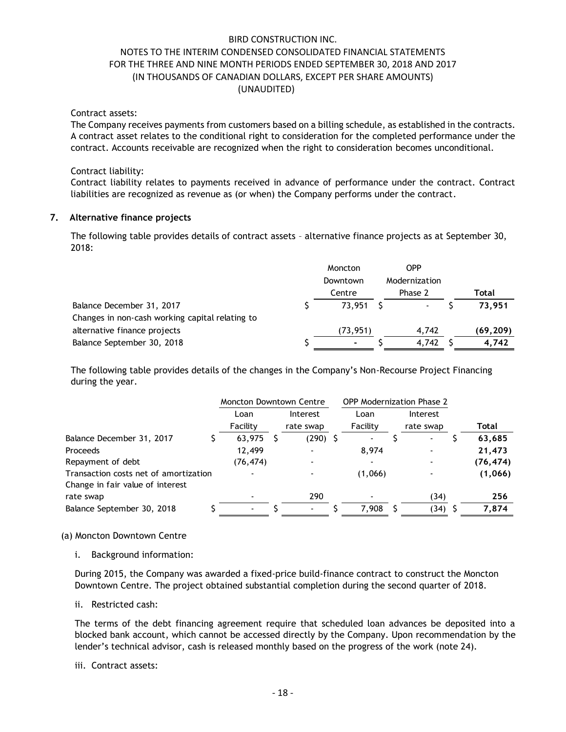Contract assets:

The Company receives payments from customers based on a billing schedule, as established in the contracts. A contract asset relates to the conditional right to consideration for the completed performance under the contract. Accounts receivable are recognized when the right to consideration becomes unconditional.

### Contract liability:

Contract liability relates to payments received in advance of performance under the contract. Contract liabilities are recognized as revenue as (or when) the Company performs under the contract.

### **7. Alternative finance projects**

The following table provides details of contract assets – alternative finance projects as at September 30, 2018:

|                                                 | Moncton   | OPP           |          |
|-------------------------------------------------|-----------|---------------|----------|
|                                                 | Downtown  | Modernization |          |
|                                                 | Centre    | Phase 2       | Total    |
| Balance December 31, 2017                       | 73,951    |               | 73.951   |
| Changes in non-cash working capital relating to |           |               |          |
| alternative finance projects                    | (73, 951) | 4.742         | (69,209) |
| Balance September 30, 2018                      | ۰         | 4.742         | 4,742    |

The following table provides details of the changes in the Company's Non-Recourse Project Financing during the year.

|                                       | <b>Moncton Downtown Centre</b> |  | <b>OPP Modernization Phase 2</b> |          |           |           |
|---------------------------------------|--------------------------------|--|----------------------------------|----------|-----------|-----------|
|                                       | Loan                           |  | Interest                         | Loan     | Interest  |           |
|                                       | Facility                       |  | rate swap                        | Facility | rate swap | Total     |
| Balance December 31, 2017             | 63,975                         |  | $(290)$ \$                       |          |           | 63,685    |
| <b>Proceeds</b>                       | 12,499                         |  |                                  | 8,974    |           | 21,473    |
| Repayment of debt                     | (76, 474)                      |  |                                  |          |           | (76, 474) |
| Transaction costs net of amortization |                                |  |                                  | (1,066)  |           | (1,066)   |
| Change in fair value of interest      |                                |  |                                  |          |           |           |
| rate swap                             |                                |  | 290                              |          | (34)      | 256       |
| Balance September 30, 2018            |                                |  |                                  | 7,908    | (34)      | 7,874     |

### (a) Moncton Downtown Centre

i. Background information:

During 2015, the Company was awarded a fixed-price build-finance contract to construct the Moncton Downtown Centre. The project obtained substantial completion during the second quarter of 2018.

ii. Restricted cash:

The terms of the debt financing agreement require that scheduled loan advances be deposited into a blocked bank account, which cannot be accessed directly by the Company. Upon recommendation by the lender's technical advisor, cash is released monthly based on the progress of the work (note 24).

### iii. Contract assets: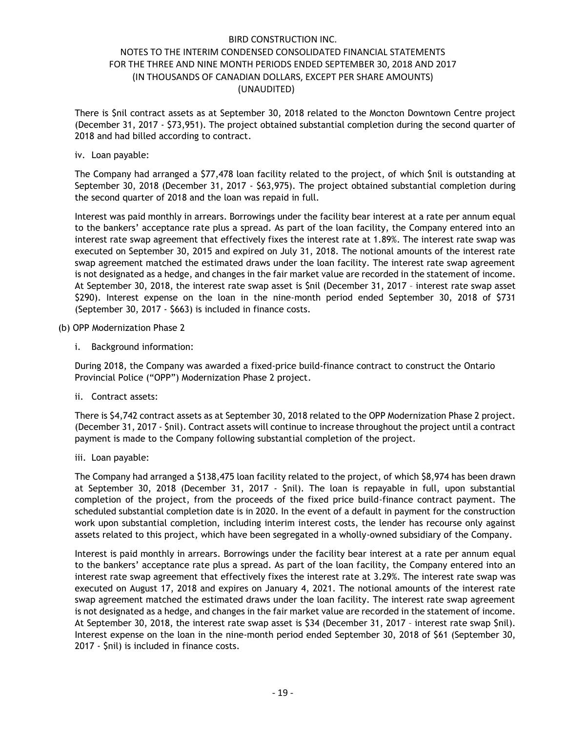There is \$nil contract assets as at September 30, 2018 related to the Moncton Downtown Centre project (December 31, 2017 - \$73,951). The project obtained substantial completion during the second quarter of 2018 and had billed according to contract.

iv. Loan payable:

The Company had arranged a \$77,478 loan facility related to the project, of which \$nil is outstanding at September 30, 2018 (December 31, 2017 - \$63,975). The project obtained substantial completion during the second quarter of 2018 and the loan was repaid in full.

Interest was paid monthly in arrears. Borrowings under the facility bear interest at a rate per annum equal to the bankers' acceptance rate plus a spread. As part of the loan facility, the Company entered into an interest rate swap agreement that effectively fixes the interest rate at 1.89%. The interest rate swap was executed on September 30, 2015 and expired on July 31, 2018. The notional amounts of the interest rate swap agreement matched the estimated draws under the loan facility. The interest rate swap agreement is not designated as a hedge, and changes in the fair market value are recorded in the statement of income. At September 30, 2018, the interest rate swap asset is \$nil (December 31, 2017 – interest rate swap asset \$290). Interest expense on the loan in the nine-month period ended September 30, 2018 of \$731 (September 30, 2017 - \$663) is included in finance costs.

- (b) OPP Modernization Phase 2
	- i. Background information:

During 2018, the Company was awarded a fixed-price build-finance contract to construct the Ontario Provincial Police ("OPP") Modernization Phase 2 project.

ii. Contract assets:

There is \$4,742 contract assets as at September 30, 2018 related to the OPP Modernization Phase 2 project. (December 31, 2017 - \$nil). Contract assets will continue to increase throughout the project until a contract payment is made to the Company following substantial completion of the project.

iii. Loan payable:

The Company had arranged a \$138,475 loan facility related to the project, of which \$8,974 has been drawn at September 30, 2018 (December 31, 2017 - \$nil). The loan is repayable in full, upon substantial completion of the project, from the proceeds of the fixed price build-finance contract payment. The scheduled substantial completion date is in 2020. In the event of a default in payment for the construction work upon substantial completion, including interim interest costs, the lender has recourse only against assets related to this project, which have been segregated in a wholly-owned subsidiary of the Company.

Interest is paid monthly in arrears. Borrowings under the facility bear interest at a rate per annum equal to the bankers' acceptance rate plus a spread. As part of the loan facility, the Company entered into an interest rate swap agreement that effectively fixes the interest rate at 3.29%. The interest rate swap was executed on August 17, 2018 and expires on January 4, 2021. The notional amounts of the interest rate swap agreement matched the estimated draws under the loan facility. The interest rate swap agreement is not designated as a hedge, and changes in the fair market value are recorded in the statement of income. At September 30, 2018, the interest rate swap asset is \$34 (December 31, 2017 – interest rate swap \$nil). Interest expense on the loan in the nine-month period ended September 30, 2018 of \$61 (September 30, 2017 - \$nil) is included in finance costs.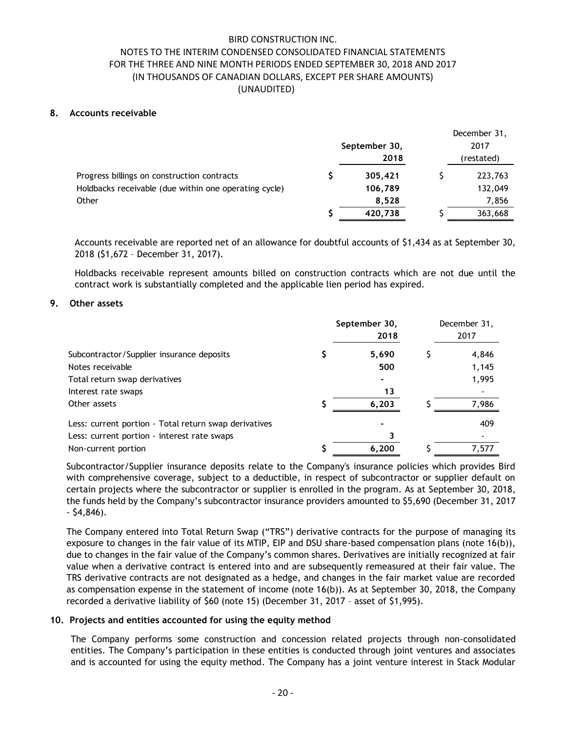### **8. Accounts receivable**

|                                                       | September 30,<br>2018 |  | December 31,<br>2017<br>(restated) |  |
|-------------------------------------------------------|-----------------------|--|------------------------------------|--|
| Progress billings on construction contracts           | 305,421               |  | 223,763                            |  |
| Holdbacks receivable (due within one operating cycle) | 106,789               |  | 132,049                            |  |
| Other                                                 | 8.528                 |  | 7,856                              |  |
|                                                       | 420,738               |  | 363,668                            |  |

Accounts receivable are reported net of an allowance for doubtful accounts of \$1,434 as at September 30, 2018 (\$1,672 – December 31, 2017).

Holdbacks receivable represent amounts billed on construction contracts which are not due until the contract work is substantially completed and the applicable lien period has expired.

### **9. Other assets**

|                                                       | September 30,<br>2018 | December 31,<br>2017 |
|-------------------------------------------------------|-----------------------|----------------------|
| Subcontractor/Supplier insurance deposits             | 5,690                 | 4,846                |
| Notes receivable                                      | 500                   | 1,145                |
| Total return swap derivatives                         |                       | 1,995                |
| Interest rate swaps                                   | 13                    |                      |
| Other assets                                          | 6,203                 | 7,986                |
| Less: current portion - Total return swap derivatives |                       | 409                  |
| Less: current portion - interest rate swaps           |                       |                      |
| Non-current portion                                   | 6.200                 | 7.577                |

Subcontractor/Supplier insurance deposits relate to the Company's insurance policies which provides Bird with comprehensive coverage, subject to a deductible, in respect of subcontractor or supplier default on certain projects where the subcontractor or supplier is enrolled in the program. As at September 30, 2018, the funds held by the Company's subcontractor insurance providers amounted to \$5,690 (December 31, 2017 - \$4,846).

The Company entered into Total Return Swap ("TRS") derivative contracts for the purpose of managing its exposure to changes in the fair value of its MTIP, EIP and DSU share-based compensation plans (note 16(b)), due to changes in the fair value of the Company's common shares. Derivatives are initially recognized at fair value when a derivative contract is entered into and are subsequently remeasured at their fair value. The TRS derivative contracts are not designated as a hedge, and changes in the fair market value are recorded as compensation expense in the statement of income (note 16(b)). As at September 30, 2018, the Company recorded a derivative liability of \$60 (note 15) (December 31, 2017 – asset of \$1,995).

# **10. Projects and entities accounted for using the equity method**

The Company performs some construction and concession related projects through non-consolidated entities. The Company's participation in these entities is conducted through joint ventures and associates and is accounted for using the equity method. The Company has a joint venture interest in Stack Modular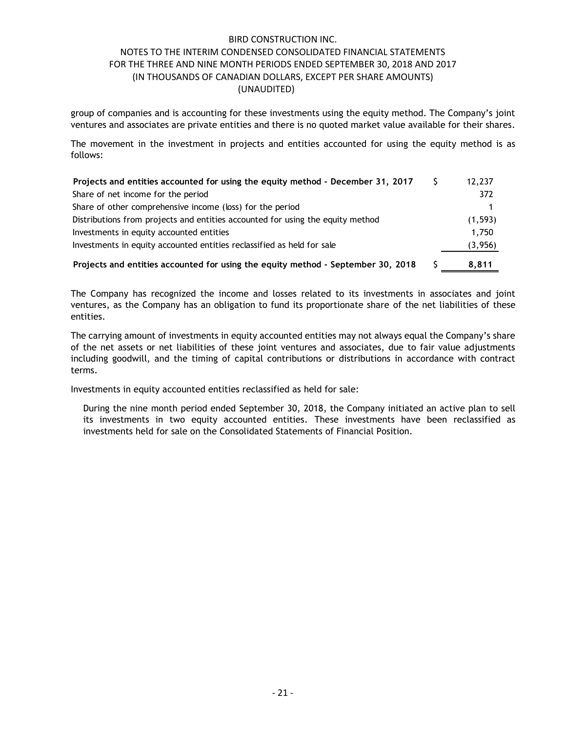group of companies and is accounting for these investments using the equity method. The Company's joint ventures and associates are private entities and there is no quoted market value available for their shares.

The movement in the investment in projects and entities accounted for using the equity method is as follows:

| Projects and entities accounted for using the equity method - December 31, 2017  | 12,237   |
|----------------------------------------------------------------------------------|----------|
| Share of net income for the period                                               | 372      |
| Share of other comprehensive income (loss) for the period                        |          |
| Distributions from projects and entities accounted for using the equity method   | (1, 593) |
| Investments in equity accounted entities                                         | 1,750    |
| Investments in equity accounted entities reclassified as held for sale           | (3,956)  |
| Projects and entities accounted for using the equity method - September 30, 2018 | 8.811    |

The Company has recognized the income and losses related to its investments in associates and joint ventures, as the Company has an obligation to fund its proportionate share of the net liabilities of these entities.

The carrying amount of investments in equity accounted entities may not always equal the Company's share of the net assets or net liabilities of these joint ventures and associates, due to fair value adjustments including goodwill, and the timing of capital contributions or distributions in accordance with contract terms.

Investments in equity accounted entities reclassified as held for sale:

During the nine month period ended September 30, 2018, the Company initiated an active plan to sell its investments in two equity accounted entities. These investments have been reclassified as investments held for sale on the Consolidated Statements of Financial Position.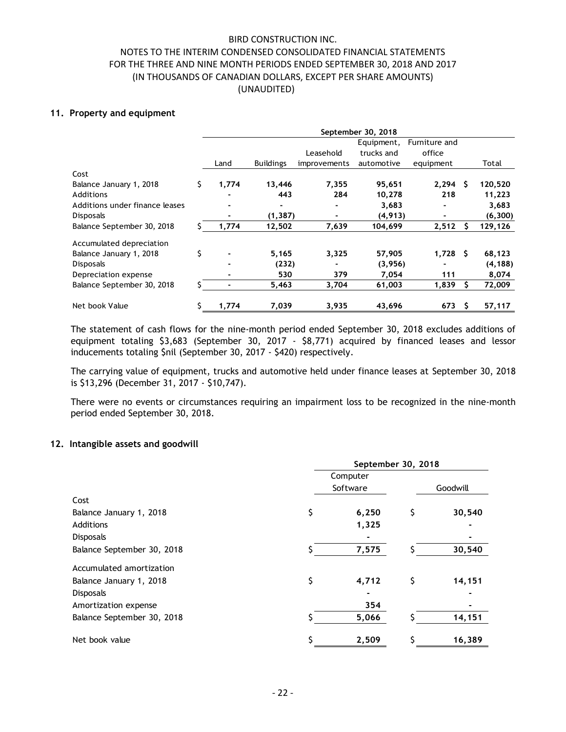### **11. Property and equipment**

|                                |    | September 30, 2018 |                  |              |            |               |   |          |  |
|--------------------------------|----|--------------------|------------------|--------------|------------|---------------|---|----------|--|
|                                |    |                    |                  |              | Equipment, | Furniture and |   |          |  |
|                                |    |                    |                  | Leasehold    | trucks and | office        |   |          |  |
|                                |    | Land               | <b>Buildings</b> | improvements | automotive | equipment     |   | Total    |  |
| Cost                           |    |                    |                  |              |            |               |   |          |  |
| Balance January 1, 2018        | Ś. | 1,774              | 13,446           | 7,355        | 95,651     | $2,294$ \$    |   | 120,520  |  |
| <b>Additions</b>               |    |                    | 443              | 284          | 10,278     | 218           |   | 11,223   |  |
| Additions under finance leases |    |                    |                  |              | 3,683      |               |   | 3,683    |  |
| <b>Disposals</b>               |    |                    | (1, 387)         |              | (4, 913)   |               |   | (6, 300) |  |
| Balance September 30, 2018     |    | 1,774              | 12,502           | 7,639        | 104,699    | 2,512         |   | 129,126  |  |
| Accumulated depreciation       |    |                    |                  |              |            |               |   |          |  |
| Balance January 1, 2018        | Ś  |                    | 5,165            | 3,325        | 57,905     | $1,728$ \$    |   | 68,123   |  |
| <b>Disposals</b>               |    |                    | (232)            |              | (3,956)    |               |   | (4, 188) |  |
| Depreciation expense           |    |                    | 530              | 379          | 7,054      | 111           |   | 8,074    |  |
| Balance September 30, 2018     |    |                    | 5,463            | 3,704        | 61,003     | 1,839         |   | 72,009   |  |
| Net book Value                 |    | 1,774              | 7,039            | 3,935        | 43,696     | 673           | s | 57,117   |  |

The statement of cash flows for the nine-month period ended September 30, 2018 excludes additions of equipment totaling \$3,683 (September 30, 2017 - \$8,771) acquired by financed leases and lessor inducements totaling \$nil (September 30, 2017 - \$420) respectively.

The carrying value of equipment, trucks and automotive held under finance leases at September 30, 2018 is \$13,296 (December 31, 2017 - \$10,747).

There were no events or circumstances requiring an impairment loss to be recognized in the nine-month period ended September 30, 2018.

### **12. Intangible assets and goodwill**

|                            | September 30, 2018 |          |    |          |  |  |
|----------------------------|--------------------|----------|----|----------|--|--|
|                            |                    | Computer |    |          |  |  |
|                            |                    | Software |    | Goodwill |  |  |
| Cost                       |                    |          |    |          |  |  |
| Balance January 1, 2018    | \$                 | 6,250    | \$ | 30,540   |  |  |
| <b>Additions</b>           |                    | 1,325    |    |          |  |  |
| <b>Disposals</b>           |                    |          |    |          |  |  |
| Balance September 30, 2018 |                    | 7,575    |    | 30,540   |  |  |
| Accumulated amortization   |                    |          |    |          |  |  |
| Balance January 1, 2018    | \$                 | 4,712    | \$ | 14,151   |  |  |
| <b>Disposals</b>           |                    |          |    |          |  |  |
| Amortization expense       |                    | 354      |    |          |  |  |
| Balance September 30, 2018 |                    | 5,066    |    | 14,151   |  |  |
| Net book value             |                    | 2,509    |    | 16,389   |  |  |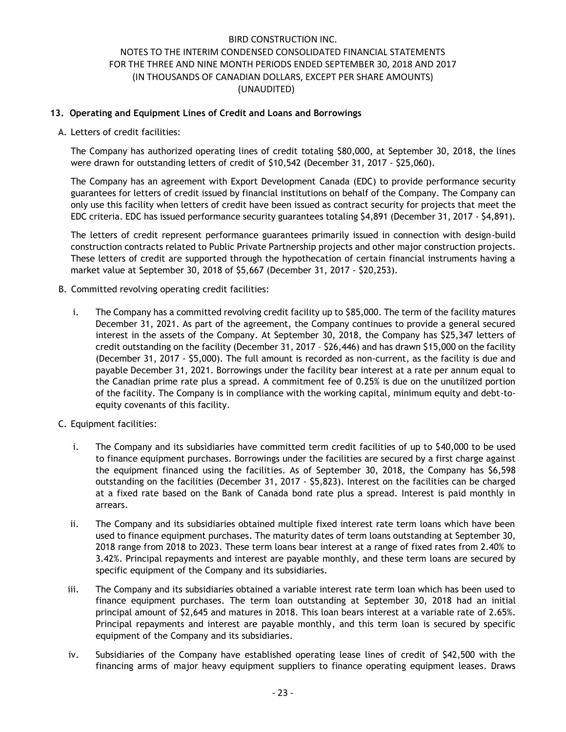# **13. Operating and Equipment Lines of Credit and Loans and Borrowings**

A. Letters of credit facilities:

The Company has authorized operating lines of credit totaling \$80,000, at September 30, 2018, the lines were drawn for outstanding letters of credit of \$10,542 (December 31, 2017 - \$25,060).

The Company has an agreement with Export Development Canada (EDC) to provide performance security guarantees for letters of credit issued by financial institutions on behalf of the Company. The Company can only use this facility when letters of credit have been issued as contract security for projects that meet the EDC criteria. EDC has issued performance security guarantees totaling \$4,891 (December 31, 2017 - \$4,891).

The letters of credit represent performance guarantees primarily issued in connection with design-build construction contracts related to Public Private Partnership projects and other major construction projects. These letters of credit are supported through the hypothecation of certain financial instruments having a market value at September 30, 2018 of \$5,667 (December 31, 2017 - \$20,253).

- B. Committed revolving operating credit facilities:
	- i. The Company has a committed revolving credit facility up to \$85,000. The term of the facility matures December 31, 2021. As part of the agreement, the Company continues to provide a general secured interest in the assets of the Company. At September 30, 2018, the Company has \$25,347 letters of credit outstanding on the facility (December 31, 2017 – \$26,446) and has drawn \$15,000 on the facility (December 31, 2017 - \$5,000). The full amount is recorded as non-current, as the facility is due and payable December 31, 2021. Borrowings under the facility bear interest at a rate per annum equal to the Canadian prime rate plus a spread. A commitment fee of 0.25% is due on the unutilized portion of the facility. The Company is in compliance with the working capital, minimum equity and debt-toequity covenants of this facility.
- C. Equipment facilities:
	- i. The Company and its subsidiaries have committed term credit facilities of up to \$40,000 to be used to finance equipment purchases. Borrowings under the facilities are secured by a first charge against the equipment financed using the facilities. As of September 30, 2018, the Company has \$6,598 outstanding on the facilities (December 31, 2017 - \$5,823). Interest on the facilities can be charged at a fixed rate based on the Bank of Canada bond rate plus a spread. Interest is paid monthly in arrears.
	- ii. The Company and its subsidiaries obtained multiple fixed interest rate term loans which have been used to finance equipment purchases. The maturity dates of term loans outstanding at September 30, 2018 range from 2018 to 2023. These term loans bear interest at a range of fixed rates from 2.40% to 3.42%. Principal repayments and interest are payable monthly, and these term loans are secured by specific equipment of the Company and its subsidiaries.
	- iii. The Company and its subsidiaries obtained a variable interest rate term loan which has been used to finance equipment purchases. The term loan outstanding at September 30, 2018 had an initial principal amount of \$2,645 and matures in 2018. This loan bears interest at a variable rate of 2.65%. Principal repayments and interest are payable monthly, and this term loan is secured by specific equipment of the Company and its subsidiaries.
	- iv. Subsidiaries of the Company have established operating lease lines of credit of \$42,500 with the financing arms of major heavy equipment suppliers to finance operating equipment leases. Draws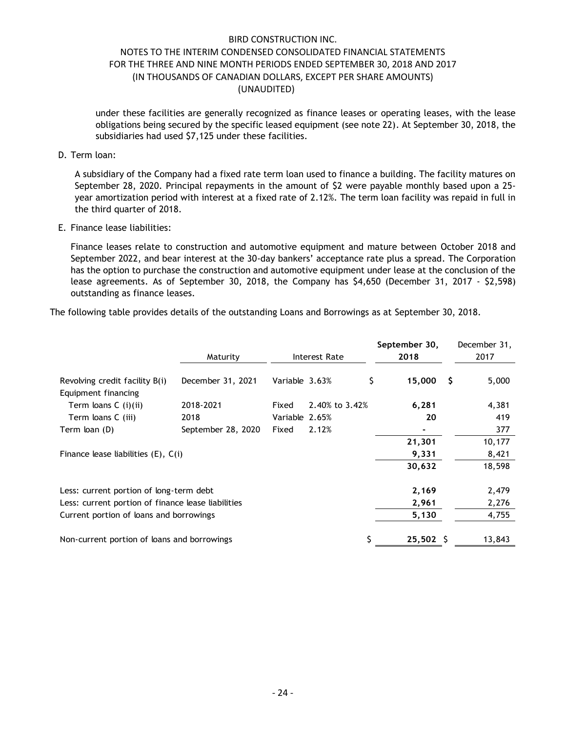under these facilities are generally recognized as finance leases or operating leases, with the lease obligations being secured by the specific leased equipment (see note 22). At September 30, 2018, the subsidiaries had used \$7,125 under these facilities.

### D. Term loan:

A subsidiary of the Company had a fixed rate term loan used to finance a building. The facility matures on September 28, 2020. Principal repayments in the amount of \$2 were payable monthly based upon a 25 year amortization period with interest at a fixed rate of 2.12%. The term loan facility was repaid in full in the third quarter of 2018.

### E. Finance lease liabilities:

Finance leases relate to construction and automotive equipment and mature between October 2018 and September 2022, and bear interest at the 30-day bankers' acceptance rate plus a spread. The Corporation has the option to purchase the construction and automotive equipment under lease at the conclusion of the lease agreements. As of September 30, 2018, the Company has \$4,650 (December 31, 2017 - \$2,598) outstanding as finance leases.

The following table provides details of the outstanding Loans and Borrowings as at September 30, 2018.

|                                                    | Maturity           |                | Interest Rate  | September 30,<br>2018 |    | December 31,<br>2017 |
|----------------------------------------------------|--------------------|----------------|----------------|-----------------------|----|----------------------|
|                                                    |                    |                |                |                       |    |                      |
| Revolving credit facility B(i)                     | December 31, 2021  | Variable 3.63% |                | \$<br>15,000          | -S | 5,000                |
| Equipment financing                                |                    |                |                |                       |    |                      |
| Term loans C (i)(ii)                               | 2018-2021          | Fixed          | 2.40% to 3.42% | 6,281                 |    | 4,381                |
| Term loans C (iii)                                 | 2018               | Variable 2.65% |                | 20                    |    | 419                  |
| Term loan (D)                                      | September 28, 2020 | Fixed          | 2.12%          |                       |    | 377                  |
|                                                    |                    |                |                | 21,301                |    | 10,177               |
| Finance lease liabilities $(E)$ , $C(i)$           |                    |                |                | 9,331                 |    | 8,421                |
|                                                    |                    |                |                | 30,632                |    | 18,598               |
| Less: current portion of long-term debt            |                    |                |                | 2,169                 |    | 2,479                |
| Less: current portion of finance lease liabilities |                    |                |                | 2,961                 |    | 2,276                |
| Current portion of loans and borrowings            |                    |                |                | 5,130                 |    | 4,755                |
| Non-current portion of loans and borrowings        |                    |                |                | $25,502 \quad$        |    | 13,843               |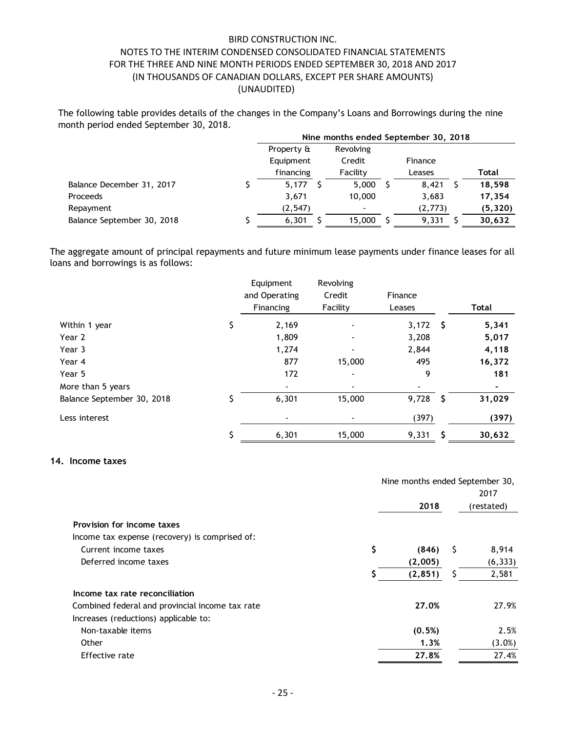The following table provides details of the changes in the Company's Loans and Borrowings during the nine month period ended September 30, 2018.

|                            | Nine months ended September 30, 2018 |                          |  |          |  |          |  |  |
|----------------------------|--------------------------------------|--------------------------|--|----------|--|----------|--|--|
|                            | Property &                           | Revolving                |  |          |  |          |  |  |
|                            | Equipment                            | Credit                   |  | Finance  |  |          |  |  |
|                            | financing                            | Facility                 |  | Leases   |  | Total    |  |  |
| Balance December 31, 2017  | 5.177                                | 5,000                    |  | 8,421    |  | 18,598   |  |  |
| Proceeds                   | 3,671                                | 10,000                   |  | 3,683    |  | 17,354   |  |  |
| Repayment                  | (2, 547)                             | $\overline{\phantom{a}}$ |  | (2, 773) |  | (5, 320) |  |  |
| Balance September 30, 2018 | 6,301                                | 15,000                   |  | 9,331    |  | 30,632   |  |  |

The aggregate amount of principal repayments and future minimum lease payments under finance leases for all loans and borrowings is as follows:

|                            | Equipment<br>and Operating<br>Financing | Revolving<br>Credit<br>Facility | Finance<br>Leases |   | Total  |
|----------------------------|-----------------------------------------|---------------------------------|-------------------|---|--------|
| Within 1 year              | \$<br>2,169                             | $\blacksquare$                  | $3,172$ \$        |   | 5,341  |
| Year 2                     | 1,809                                   | $\overline{\phantom{a}}$        | 3,208             |   | 5,017  |
| Year 3                     | 1,274                                   | $\blacksquare$                  | 2,844             |   | 4,118  |
| Year 4                     | 877                                     | 15,000                          | 495               |   | 16,372 |
| Year 5                     | 172                                     | $\blacksquare$                  | 9                 |   | 181    |
| More than 5 years          |                                         | $\blacksquare$                  |                   |   |        |
| Balance September 30, 2018 | \$<br>6,301                             | 15,000                          | $9,728$ \$        |   | 31,029 |
| Less interest              |                                         |                                 | (397)             |   | (397)  |
|                            | \$<br>6,301                             | 15,000                          | 9,331             | S | 30,632 |

### **14. Income taxes**

|                                                 | Nine months ended September 30, |     | 2017       |
|-------------------------------------------------|---------------------------------|-----|------------|
|                                                 | 2018                            |     | (restated) |
| Provision for income taxes                      |                                 |     |            |
| Income tax expense (recovery) is comprised of:  |                                 |     |            |
| Current income taxes                            | \$<br>(846)                     | - S | 8,914      |
| Deferred income taxes                           | (2,005)                         |     | (6, 333)   |
|                                                 | (2, 851)                        | \$  | 2,581      |
| Income tax rate reconciliation                  |                                 |     |            |
| Combined federal and provincial income tax rate | 27.0%                           |     | 27.9%      |
| Increases (reductions) applicable to:           |                                 |     |            |
| Non-taxable items                               | (0.5%)                          |     | 2.5%       |
| Other                                           | 1.3%                            |     | $(3.0\%)$  |
| Effective rate                                  | 27.8%                           |     | 27.4%      |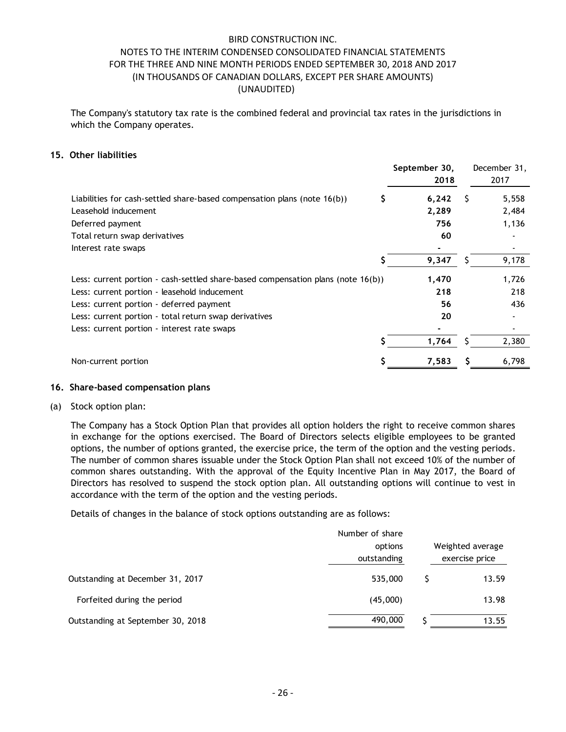The Company's statutory tax rate is the combined federal and provincial tax rates in the jurisdictions in which the Company operates.

### **15. Other liabilities**

|                                                                                     | September 30, | December 31, |
|-------------------------------------------------------------------------------------|---------------|--------------|
|                                                                                     | 2018          | 2017         |
| Liabilities for cash-settled share-based compensation plans (note $16(b)$ )         | 6,242         | 5,558<br>S   |
| Leasehold inducement                                                                | 2,289         | 2,484        |
| Deferred payment                                                                    | 756           | 1,136        |
| Total return swap derivatives                                                       | 60            |              |
| Interest rate swaps                                                                 |               |              |
|                                                                                     | 9,347         | 9,178        |
| Less: current portion - cash-settled share-based compensation plans (note $16(b)$ ) | 1,470         | 1,726        |
| Less: current portion - leasehold inducement                                        | 218           | 218          |
| Less: current portion - deferred payment                                            | 56            | 436          |
| Less: current portion - total return swap derivatives                               | 20            |              |
| Less: current portion - interest rate swaps                                         |               |              |
|                                                                                     | 1.764         | 2,380        |
| Non-current portion                                                                 | 7,583         | 6,798        |

### **16. Share-based compensation plans**

(a) Stock option plan:

The Company has a Stock Option Plan that provides all option holders the right to receive common shares in exchange for the options exercised. The Board of Directors selects eligible employees to be granted options, the number of options granted, the exercise price, the term of the option and the vesting periods. The number of common shares issuable under the Stock Option Plan shall not exceed 10% of the number of common shares outstanding. With the approval of the Equity Incentive Plan in May 2017, the Board of Directors has resolved to suspend the stock option plan. All outstanding options will continue to vest in accordance with the term of the option and the vesting periods.

Details of changes in the balance of stock options outstanding are as follows:

|                                   | Number of share<br>options<br>outstanding | Weighted average<br>exercise price |
|-----------------------------------|-------------------------------------------|------------------------------------|
| Outstanding at December 31, 2017  | 535,000                                   | 13.59                              |
| Forfeited during the period       | (45,000)                                  | 13.98                              |
| Outstanding at September 30, 2018 | 490,000                                   | 13.55                              |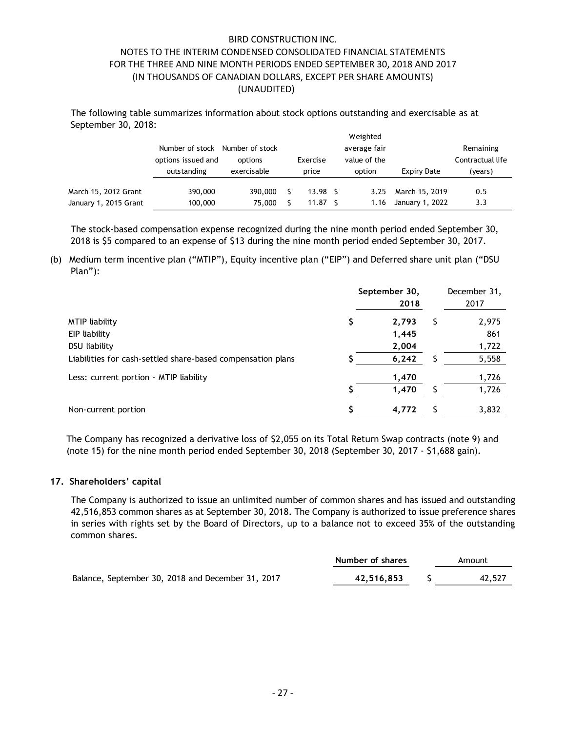The following table summarizes information about stock options outstanding and exercisable as at September 30, 2018:

|                       | Number of stock<br>options issued and<br>outstanding | Number of stock<br>options<br>exercisable | Exercise<br>price | Weighted<br>average fair<br>value of the<br>option | Expiry Date     | Remaining<br>Contractual life<br>(years) |
|-----------------------|------------------------------------------------------|-------------------------------------------|-------------------|----------------------------------------------------|-----------------|------------------------------------------|
| March 15, 2012 Grant  | 390,000                                              | 390,000                                   | 13.98             | 3.25                                               | March 15, 2019  | 0.5                                      |
| January 1, 2015 Grant | 100,000                                              | 75,000                                    | 11.87             | 1.16                                               | January 1, 2022 | 3.3                                      |

The stock-based compensation expense recognized during the nine month period ended September 30, 2018 is \$5 compared to an expense of \$13 during the nine month period ended September 30, 2017.

(b) Medium term incentive plan ("MTIP"), Equity incentive plan ("EIP") and Deferred share unit plan ("DSU Plan"):

|                                                             |   | September 30,<br>2018 | December 31,<br>2017 |  |
|-------------------------------------------------------------|---|-----------------------|----------------------|--|
| <b>MTIP</b> liability                                       | S | 2,793                 | 2,975                |  |
| EIP liability                                               |   | 1,445                 | 861                  |  |
| DSU liability                                               |   | 2,004                 | 1,722                |  |
| Liabilities for cash-settled share-based compensation plans |   | 6,242                 | 5,558                |  |
| Less: current portion - MTIP liability                      |   | 1,470                 | 1,726                |  |
|                                                             |   | 1,470                 | 1,726                |  |
| Non-current portion                                         |   | 4,772                 | 3,832                |  |

The Company has recognized a derivative loss of \$2,055 on its Total Return Swap contracts (note 9) and (note 15) for the nine month period ended September 30, 2018 (September 30, 2017 - \$1,688 gain).

### **17. Shareholders' capital**

The Company is authorized to issue an unlimited number of common shares and has issued and outstanding 42,516,853 common shares as at September 30, 2018. The Company is authorized to issue preference shares in series with rights set by the Board of Directors, up to a balance not to exceed 35% of the outstanding common shares.

|                                                   | Number of shares | Amount |
|---------------------------------------------------|------------------|--------|
| Balance, September 30, 2018 and December 31, 2017 | 42.516.853       | 42,527 |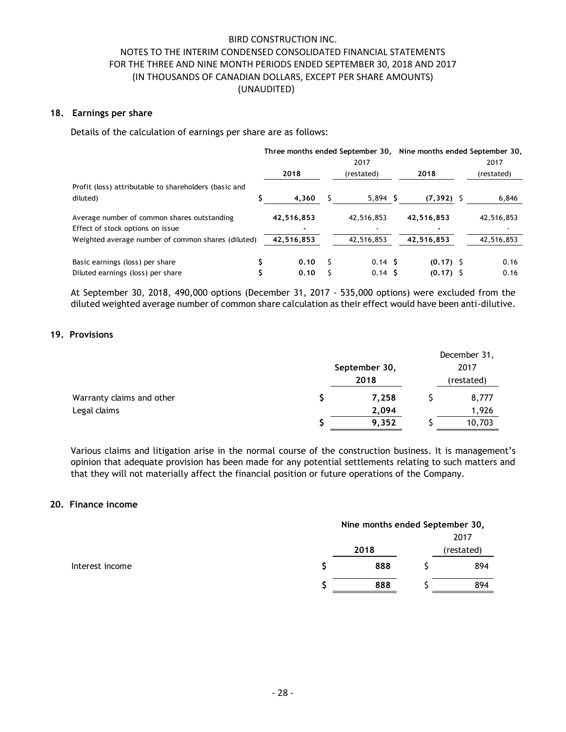### **18. Earnings per share**

Details of the calculation of earnings per share are as follows:

|                                                       | Three months ended September 30, Nine months ended September 30, |            |  |                   |               |  |            |
|-------------------------------------------------------|------------------------------------------------------------------|------------|--|-------------------|---------------|--|------------|
|                                                       |                                                                  |            |  | 2017              |               |  | 2017       |
|                                                       |                                                                  | 2018       |  | (restated)        | 2018          |  | (restated) |
| Profit (loss) attributable to shareholders (basic and |                                                                  |            |  |                   |               |  |            |
| diluted)                                              |                                                                  | 4.360      |  | $5,894$ \$        | $(7, 392)$ \$ |  | 6,846      |
| Average number of common shares outstanding           |                                                                  | 42,516,853 |  | 42,516,853        | 42,516,853    |  | 42,516,853 |
| Effect of stock options on issue                      |                                                                  |            |  |                   |               |  |            |
| Weighted average number of common shares (diluted)    |                                                                  | 42,516,853 |  | 42,516,853        | 42,516,853    |  | 42,516,853 |
| Basic earnings (loss) per share                       |                                                                  | 0.10       |  | 0.14 <sub>5</sub> | $(0.17)$ \$   |  | 0.16       |
| Diluted earnings (loss) per share                     |                                                                  | 0.10       |  | 0.14S             | $(0.17)$ \$   |  | 0.16       |

At September 30, 2018, 490,000 options (December 31, 2017 - 535,000 options) were excluded from the diluted weighted average number of common share calculation as their effect would have been anti-dilutive.

### **19. Provisions**

|                           |               | December 31, |
|---------------------------|---------------|--------------|
|                           | September 30, | 2017         |
|                           | 2018          | (restated)   |
| Warranty claims and other | 7,258         | 8,777        |
| Legal claims              | 2,094         | 1,926        |
|                           | 9,352         | 10,703       |

Various claims and litigation arise in the normal course of the construction business. It is management's opinion that adequate provision has been made for any potential settlements relating to such matters and that they will not materially affect the financial position or future operations of the Company.

## **20. Finance income**

|                 | Nine months ended September 30, |  |      |  |  |  |
|-----------------|---------------------------------|--|------|--|--|--|
|                 |                                 |  | 2017 |  |  |  |
|                 | 2018                            |  |      |  |  |  |
| Interest income | 888                             |  | 894  |  |  |  |
|                 | 888                             |  | 894  |  |  |  |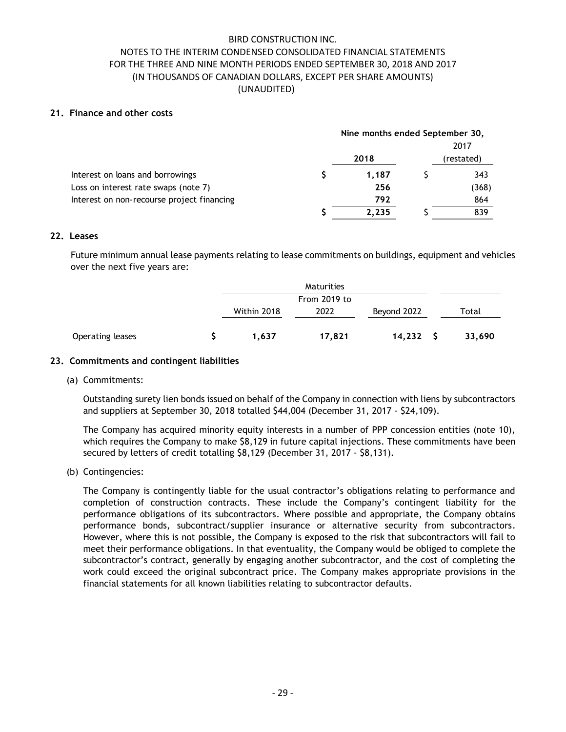## **21. Finance and other costs**

|                                            | Nine months ended September 30, |       |            |       |  |  |
|--------------------------------------------|---------------------------------|-------|------------|-------|--|--|
|                                            |                                 |       |            | 2017  |  |  |
|                                            |                                 |       | (restated) |       |  |  |
| Interest on loans and borrowings           |                                 | 1.187 |            | 343   |  |  |
| Loss on interest rate swaps (note 7)       |                                 | 256   |            | (368) |  |  |
| Interest on non-recourse project financing |                                 | 792   |            | 864   |  |  |
|                                            |                                 | 2,235 |            | 839   |  |  |

### **22. Leases**

Future minimum annual lease payments relating to lease commitments on buildings, equipment and vehicles over the next five years are:

|                  | Maturities   |        |             |  |        |
|------------------|--------------|--------|-------------|--|--------|
|                  | From 2019 to |        |             |  |        |
|                  | Within 2018  | 2022   | Beyond 2022 |  | Total  |
| Operating leases | 1.637        | 17,821 | $14,232$ \$ |  | 33,690 |

### **23. Commitments and contingent liabilities**

### (a) Commitments:

Outstanding surety lien bonds issued on behalf of the Company in connection with liens by subcontractors and suppliers at September 30, 2018 totalled \$44,004 (December 31, 2017 - \$24,109).

The Company has acquired minority equity interests in a number of PPP concession entities (note 10), which requires the Company to make \$8,129 in future capital injections. These commitments have been secured by letters of credit totalling \$8,129 (December 31, 2017 - \$8,131).

### (b) Contingencies:

The Company is contingently liable for the usual contractor's obligations relating to performance and completion of construction contracts. These include the Company's contingent liability for the performance obligations of its subcontractors. Where possible and appropriate, the Company obtains performance bonds, subcontract/supplier insurance or alternative security from subcontractors. However, where this is not possible, the Company is exposed to the risk that subcontractors will fail to meet their performance obligations. In that eventuality, the Company would be obliged to complete the subcontractor's contract, generally by engaging another subcontractor, and the cost of completing the work could exceed the original subcontract price. The Company makes appropriate provisions in the financial statements for all known liabilities relating to subcontractor defaults.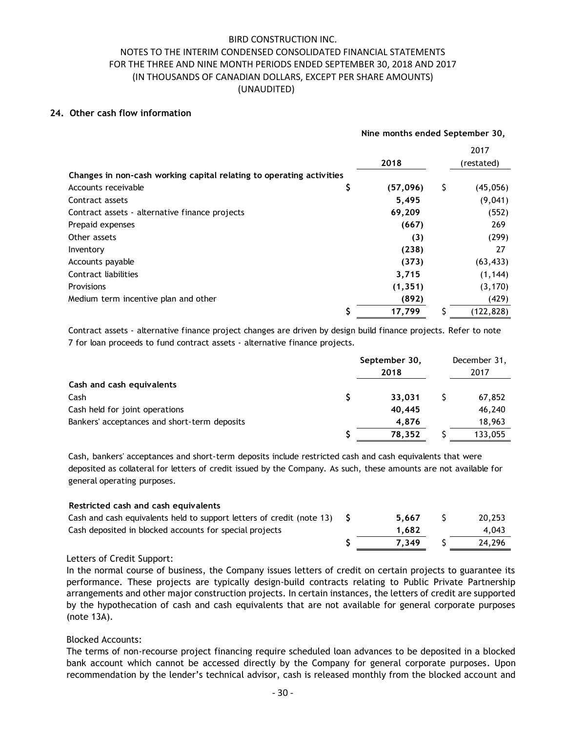### **24. Other cash flow information**

|                                                                      |          |     | Nine months ended September 30, |
|----------------------------------------------------------------------|----------|-----|---------------------------------|
|                                                                      |          |     | 2017                            |
|                                                                      | 2018     |     | (restated)                      |
| Changes in non-cash working capital relating to operating activities |          |     |                                 |
| \$<br>Accounts receivable                                            | (57,096) | \$  | (45,056)                        |
| Contract assets                                                      | 5,495    |     | (9,041)                         |
| Contract assets - alternative finance projects                       | 69,209   |     | (552)                           |
| Prepaid expenses                                                     | (667)    |     | 269                             |
| Other assets                                                         |          | (3) | (299)                           |
| Inventory                                                            | (238)    |     | 27                              |
| Accounts payable                                                     | (373)    |     | (63, 433)                       |
| Contract liabilities                                                 | 3,715    |     | (1, 144)                        |
| <b>Provisions</b>                                                    | (1, 351) |     | (3, 170)                        |
| Medium term incentive plan and other                                 | (892)    |     | (429)                           |
| \$                                                                   | 17,799   |     | (122, 828)                      |

Contract assets - alternative finance project changes are driven by design build finance projects. Refer to note 7 for loan proceeds to fund contract assets - alternative finance projects.

|                                              | September 30,<br>2018 |  | December 31,<br>2017 |
|----------------------------------------------|-----------------------|--|----------------------|
| Cash and cash equivalents                    |                       |  |                      |
| Cash                                         | 33.031                |  | 67,852               |
| Cash held for joint operations               | 40.445                |  | 46,240               |
| Bankers' acceptances and short-term deposits | 4.876                 |  | 18,963               |
|                                              | 78.352                |  | 133,055              |

Cash, bankers' acceptances and short-term deposits include restricted cash and cash equivalents that were deposited as collateral for letters of credit issued by the Company. As such, these amounts are not available for general operating purposes.

| Restricted cash and cash equivalents                                    |       |        |
|-------------------------------------------------------------------------|-------|--------|
| Cash and cash equivalents held to support letters of credit (note 13) S | 5.667 | 20,253 |
| Cash deposited in blocked accounts for special projects                 | 1.682 | 4.043  |
|                                                                         | 7.349 | 24.296 |

# Letters of Credit Support:

In the normal course of business, the Company issues letters of credit on certain projects to guarantee its performance. These projects are typically design-build contracts relating to Public Private Partnership arrangements and other major construction projects. In certain instances, the letters of credit are supported by the hypothecation of cash and cash equivalents that are not available for general corporate purposes (note 13A).

# Blocked Accounts:

The terms of non-recourse project financing require scheduled loan advances to be deposited in a blocked bank account which cannot be accessed directly by the Company for general corporate purposes. Upon recommendation by the lender's technical advisor, cash is released monthly from the blocked account and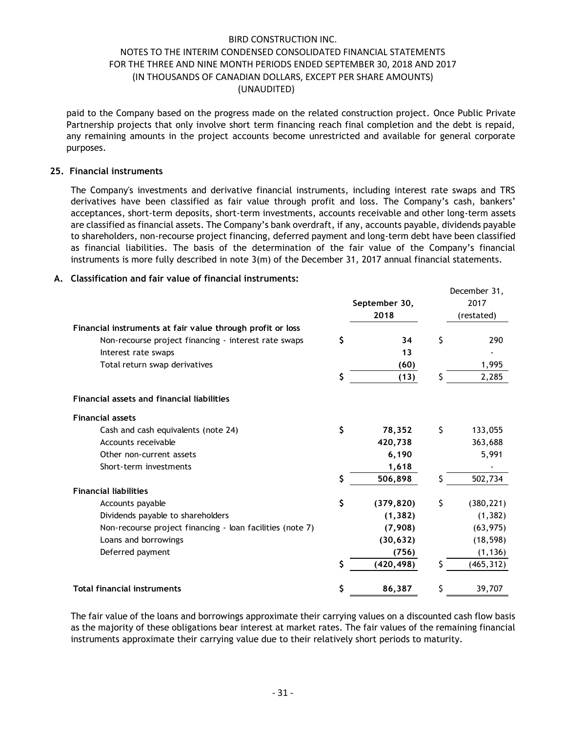paid to the Company based on the progress made on the related construction project. Once Public Private Partnership projects that only involve short term financing reach final completion and the debt is repaid, any remaining amounts in the project accounts become unrestricted and available for general corporate purposes.

### **25. Financial instruments**

The Company's investments and derivative financial instruments, including interest rate swaps and TRS derivatives have been classified as fair value through profit and loss. The Company's cash, bankers' acceptances, short-term deposits, short-term investments, accounts receivable and other long-term assets are classified as financial assets. The Company's bank overdraft, if any, accounts payable, dividends payable to shareholders, non-recourse project financing, deferred payment and long-term debt have been classified as financial liabilities. The basis of the determination of the fair value of the Company's financial instruments is more fully described in note 3(m) of the December 31, 2017 annual financial statements.

December 31,

### **A. Classification and fair value of financial instruments:**

|                                                            | September 30,<br>2018 |    | 2017<br>(restated) |
|------------------------------------------------------------|-----------------------|----|--------------------|
| Financial instruments at fair value through profit or loss |                       |    |                    |
| Non-recourse project financing - interest rate swaps       | \$<br>34              | \$ | 290                |
| Interest rate swaps                                        | 13                    |    |                    |
| Total return swap derivatives                              | (60)                  |    | 1,995              |
|                                                            | \$<br>(13)            | Ś. | 2,285              |
| <b>Financial assets and financial liabilities</b>          |                       |    |                    |
| <b>Financial assets</b>                                    |                       |    |                    |
| Cash and cash equivalents (note 24)                        | \$<br>78,352          | \$ | 133,055            |
| Accounts receivable                                        | 420,738               |    | 363,688            |
| Other non-current assets                                   | 6,190                 |    | 5,991              |
| Short-term investments                                     | 1,618                 |    |                    |
|                                                            | \$<br>506,898         |    | 502,734            |
| <b>Financial liabilities</b>                               |                       |    |                    |
| Accounts payable                                           | \$<br>(379, 820)      | \$ | (380, 221)         |
| Dividends payable to shareholders                          | (1, 382)              |    | (1, 382)           |
| Non-recourse project financing - loan facilities (note 7)  | (7,908)               |    | (63, 975)          |
| Loans and borrowings                                       | (30, 632)             |    | (18, 598)          |
| Deferred payment                                           | (756)                 |    | (1, 136)           |
|                                                            | \$<br>(420, 498)      |    | (465, 312)         |
| <b>Total financial instruments</b>                         | \$<br>86,387          | \$ | 39,707             |

The fair value of the loans and borrowings approximate their carrying values on a discounted cash flow basis as the majority of these obligations bear interest at market rates. The fair values of the remaining financial instruments approximate their carrying value due to their relatively short periods to maturity.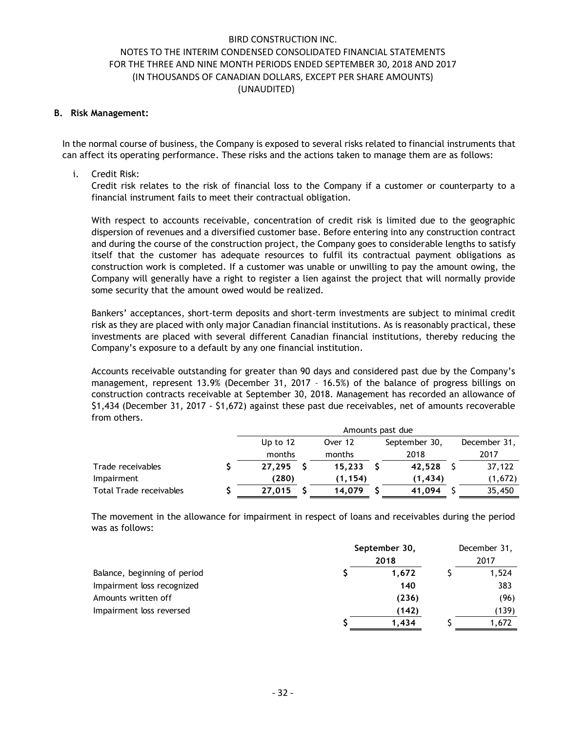### **B. Risk Management:**

In the normal course of business, the Company is exposed to several risks related to financial instruments that can affect its operating performance. These risks and the actions taken to manage them are as follows:

### i. Credit Risk:

Credit risk relates to the risk of financial loss to the Company if a customer or counterparty to a financial instrument fails to meet their contractual obligation.

With respect to accounts receivable, concentration of credit risk is limited due to the geographic dispersion of revenues and a diversified customer base. Before entering into any construction contract and during the course of the construction project, the Company goes to considerable lengths to satisfy itself that the customer has adequate resources to fulfil its contractual payment obligations as construction work is completed. If a customer was unable or unwilling to pay the amount owing, the Company will generally have a right to register a lien against the project that will normally provide some security that the amount owed would be realized.

Bankers' acceptances, short-term deposits and short-term investments are subject to minimal credit risk as they are placed with only major Canadian financial institutions. As is reasonably practical, these investments are placed with several different Canadian financial institutions, thereby reducing the Company's exposure to a default by any one financial institution.

Accounts receivable outstanding for greater than 90 days and considered past due by the Company's management, represent 13.9% (December 31, 2017 – 16.5%) of the balance of progress billings on construction contracts receivable at September 30, 2018. Management has recorded an allowance of \$1,434 (December 31, 2017 - \$1,672) against these past due receivables, net of amounts recoverable from others.

|                         | Amounts past due |  |         |  |               |  |              |  |
|-------------------------|------------------|--|---------|--|---------------|--|--------------|--|
|                         | Up to $12$       |  | Over 12 |  | September 30, |  | December 31, |  |
|                         | months           |  | months  |  | 2018          |  | 2017         |  |
| Trade receivables       | 27.295           |  | 15.233  |  | 42,528        |  | 37,122       |  |
| Impairment              | (280)            |  | (1.154) |  | (1.434)       |  | (1,672)      |  |
| Total Trade receivables | 27.015           |  | 14.079  |  | 41.094        |  | 35,450       |  |

The movement in the allowance for impairment in respect of loans and receivables during the period was as follows:

|                              | September 30, |       | December 31, |       |
|------------------------------|---------------|-------|--------------|-------|
|                              |               | 2018  |              | 2017  |
| Balance, beginning of period |               | 1.672 |              | 1,524 |
| Impairment loss recognized   |               | 140   |              | 383   |
| Amounts written off          |               | (236) |              | (96)  |
| Impairment loss reversed     |               | (142) |              | (139) |
|                              |               | 1.434 |              | 1,672 |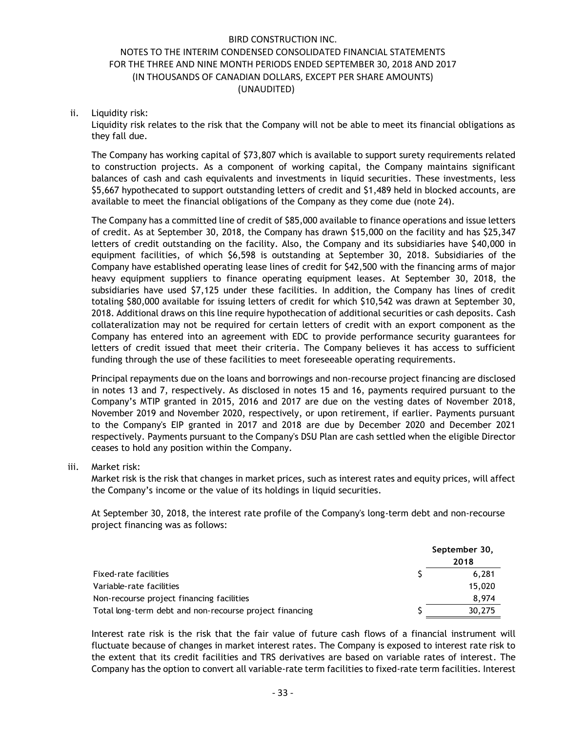### ii. Liquidity risk:

Liquidity risk relates to the risk that the Company will not be able to meet its financial obligations as they fall due.

The Company has working capital of \$73,807 which is available to support surety requirements related to construction projects. As a component of working capital, the Company maintains significant balances of cash and cash equivalents and investments in liquid securities. These investments, less \$5,667 hypothecated to support outstanding letters of credit and \$1,489 held in blocked accounts, are available to meet the financial obligations of the Company as they come due (note 24).

The Company has a committed line of credit of \$85,000 available to finance operations and issue letters of credit. As at September 30, 2018, the Company has drawn \$15,000 on the facility and has \$25,347 letters of credit outstanding on the facility. Also, the Company and its subsidiaries have \$40,000 in equipment facilities, of which \$6,598 is outstanding at September 30, 2018. Subsidiaries of the Company have established operating lease lines of credit for \$42,500 with the financing arms of major heavy equipment suppliers to finance operating equipment leases. At September 30, 2018, the subsidiaries have used \$7,125 under these facilities. In addition, the Company has lines of credit totaling \$80,000 available for issuing letters of credit for which \$10,542 was drawn at September 30, 2018. Additional draws on this line require hypothecation of additional securities or cash deposits. Cash collateralization may not be required for certain letters of credit with an export component as the Company has entered into an agreement with EDC to provide performance security guarantees for letters of credit issued that meet their criteria. The Company believes it has access to sufficient funding through the use of these facilities to meet foreseeable operating requirements.

Principal repayments due on the loans and borrowings and non-recourse project financing are disclosed in notes 13 and 7, respectively. As disclosed in notes 15 and 16, payments required pursuant to the Company's MTIP granted in 2015, 2016 and 2017 are due on the vesting dates of November 2018, November 2019 and November 2020, respectively, or upon retirement, if earlier. Payments pursuant to the Company's EIP granted in 2017 and 2018 are due by December 2020 and December 2021 respectively. Payments pursuant to the Company's DSU Plan are cash settled when the eligible Director ceases to hold any position within the Company.

### iii. Market risk:

Market risk is the risk that changes in market prices, such as interest rates and equity prices, will affect the Company's income or the value of its holdings in liquid securities.

At September 30, 2018, the interest rate profile of the Company's long-term debt and non-recourse project financing was as follows:

|                                                         |  | September 30,<br>2018 |  |
|---------------------------------------------------------|--|-----------------------|--|
|                                                         |  |                       |  |
| Fixed-rate facilities                                   |  | 6.281                 |  |
| Variable-rate facilities                                |  | 15,020                |  |
| Non-recourse project financing facilities               |  | 8,974                 |  |
| Total long-term debt and non-recourse project financing |  | 30,275                |  |

Interest rate risk is the risk that the fair value of future cash flows of a financial instrument will fluctuate because of changes in market interest rates. The Company is exposed to interest rate risk to the extent that its credit facilities and TRS derivatives are based on variable rates of interest. The Company has the option to convert all variable-rate term facilities to fixed-rate term facilities. Interest